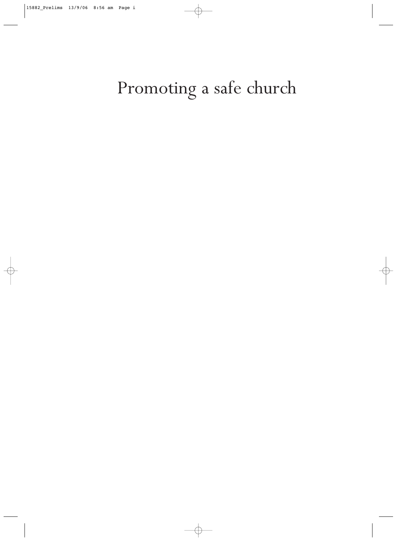# Promoting a safe church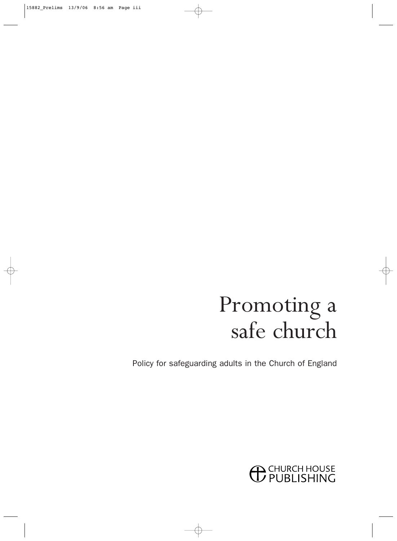# Promoting a safe church

Policy for safeguarding adults in the Church of England

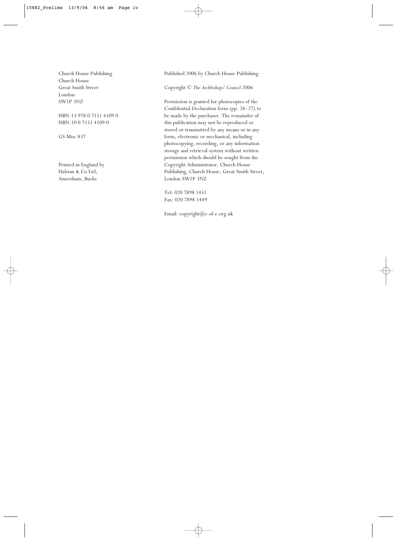Church House Publishing Church House Great Smith Street London SW1P 3NZ

ISBN-13 978 0 7151 4109 0 ISBN-10 0 7151 4109 0

GS Misc 837

Printed in England by Halstan & Co Ltd, Amersham, Bucks

Published 2006 by Church House Publishing

Copyright © *The Archbishops' Council* 2006

Permission is granted for photocopies of the Confidential Declaration form (pp. 26–27) to be made by the purchaser. The remainder of this publication may not be reproduced or stored or transmitted by any means or in any form, electronic or mechanical, including photocopying, recording, or any information storage and retrieval system without written permission which should be sought from the Copyright Administrator, Church House Publishing, Church House, Great Smith Street, London SW1P 3NZ

Tel: 020 7898 1451 Fax: 020 7898 1449

Email: copyright@c-of-e.org.uk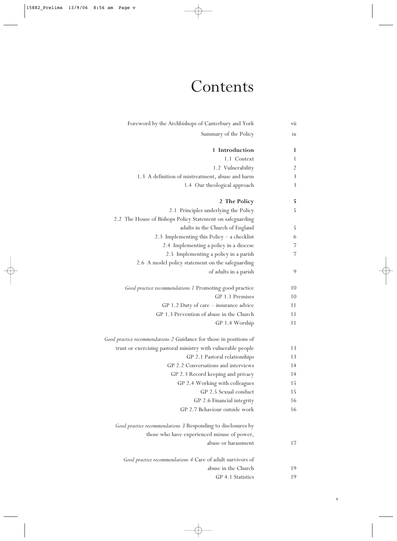## Contents

| vii            | Foreword by the Archbishops of Canterbury and York                 |
|----------------|--------------------------------------------------------------------|
| ix             | Summary of the Policy                                              |
| 1              | 1 Introduction                                                     |
| 1              | 1.1 Context                                                        |
| $\overline{2}$ | 1.2 Vulnerability                                                  |
| 3              | 1.3 A definition of mistreatment, abuse and harm                   |
| 3              | 1.4 Our theological approach                                       |
| 5              | 2 The Policy                                                       |
| 5              | 2.1 Principles underlying the Policy                               |
|                | 2.2 The House of Bishops Policy Statement on safeguarding          |
| 5              | adults in the Church of England                                    |
| 6              | 2.3 Implementing this Policy $-$ a checklist                       |
| 7              | 2.4 Implementing a policy in a diocese                             |
| 7              | 2.5 Implementing a policy in a parish                              |
|                | 2.6 A model policy statement on the safeguarding                   |
| 9              | of adults in a parish                                              |
| 10             | Good practice recommendations 1 Promoting good practice            |
| 10             | GP 1.1 Premises                                                    |
| 11             | GP 1.2 Duty of care $-$ insurance advice                           |
| 11             | GP 1.3 Prevention of abuse in the Church                           |
| 11             | GP 1.4 Worship                                                     |
|                | Good practice recommendations 2 Guidance for those in positions of |
| 13             | trust or exercising pastoral ministry with vulnerable people       |
| 13             | GP 2.1 Pastoral relationships                                      |
| 14             | GP 2.2 Conversations and interviews                                |
| 14             | GP 2.3 Record keeping and privacy                                  |
| 15             | GP 2.4 Working with colleagues                                     |
| 15             | GP 2.5 Sexual conduct                                              |
| 16             | GP 2.6 Financial integrity                                         |
| 16             | GP 2.7 Behaviour outside work                                      |
|                | Good practice recommendations 3 Responding to disclosures by       |
|                | those who have experienced misuse of power,                        |
| 17             | abuse or harassment                                                |
|                | Good practice recommendations 4 Care of adult survivors of         |
| 19             | abuse in the Church                                                |
| 19             | GP 4.1 Statistics                                                  |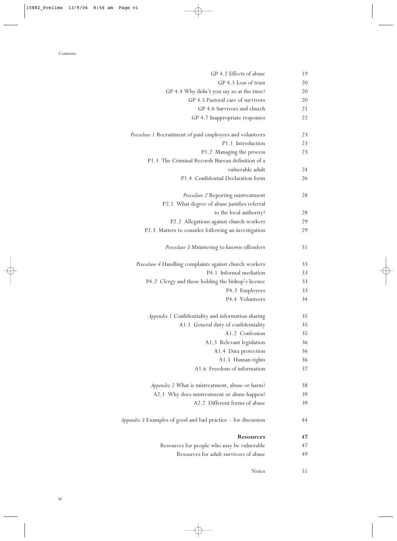| 19 | GP 4.2 Effects of abuse                                       |
|----|---------------------------------------------------------------|
| 20 | GP 4.3 Loss of trust                                          |
| 20 | GP 4.4 Why didn't you say so at the time?                     |
| 20 | GP 4.5 Pastoral care of survivors                             |
| 21 | GP 4.6 Survivors and church                                   |
| 22 | GP 4.7 Inappropriate responses                                |
| 23 | Procedure 1 Recruitment of paid employees and volunteers      |
| 23 | P1.1 Introduction                                             |
| 23 | P1.2 Managing the process                                     |
|    | P1.3 The Criminal Records Bureau definition of a              |
| 24 | vulnerable adult                                              |
| 26 | P1.4 Confidential Declaration form                            |
| 28 | Procedure 2 Reporting mistreatment                            |
|    | P2.1 What degree of abuse justifies referral                  |
| 28 | to the local authority?                                       |
| 29 | P2.2 Allegations against church workers                       |
| 29 | P2.3 Matters to consider following an investigation           |
| 31 | Procedure 3 Ministering to known offenders                    |
| 33 | Procedure 4 Handling complaints against church workers        |
| 33 | P4.1 Informal mediation                                       |
| 33 | P4.2 Clergy and those holding the bishop's licence            |
| 33 | P4.3 Employees                                                |
| 34 | P4.4 Volunteers                                               |
| 35 | Appendix 1 Confidentiality and information sharing            |
| 35 | A1.1 General duty of confidentiality                          |
| 35 | A1.2 Confession                                               |
| 36 | A1.3 Relevant legislation                                     |
| 36 | A1.4 Data protection                                          |
| 36 | A1.5 Human rights                                             |
| 37 | A1.6 Freedom of information                                   |
| 38 | Appendix 2 What is mistreatment, abuse or harm?               |
| 39 | A2.1 Why does mistreatment or abuse happen?                   |
| 39 | A2.2 Different forms of abuse                                 |
| 44 | Appendix 3 Examples of good and bad practice – for discussion |
| 47 | <b>Resources</b>                                              |
| 47 | Resources for people who may be vulnerable                    |
| 49 | Resources for adult survivors of abuse                        |
| 51 | <b>Notes</b>                                                  |
|    |                                                               |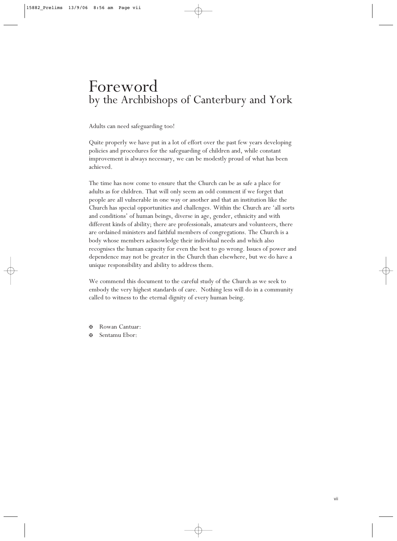## Foreword by the Archbishops of Canterbury and York

Adults can need safeguarding too!

Quite properly we have put in a lot of effort over the past few years developing policies and procedures for the safeguarding of children and, while constant improvement is always necessary, we can be modestly proud of what has been achieved.

The time has now come to ensure that the Church can be as safe a place for adults as for children. That will only seem an odd comment if we forget that people are all vulnerable in one way or another and that an institution like the Church has special opportunities and challenges. Within the Church are 'all sorts and conditions' of human beings, diverse in age, gender, ethnicity and with different kinds of ability; there are professionals, amateurs and volunteers, there are ordained ministers and faithful members of congregations. The Church is a body whose members acknowledge their individual needs and which also recognises the human capacity for even the best to go wrong. Issues of power and dependence may not be greater in the Church than elsewhere, but we do have a unique responsibility and ability to address them.

We commend this document to the careful study of the Church as we seek to embody the very highest standards of care. Nothing less will do in a community called to witness to the eternal dignity of every human being.

- ✠ Rowan Cantuar:
- ✠ Sentamu Ebor: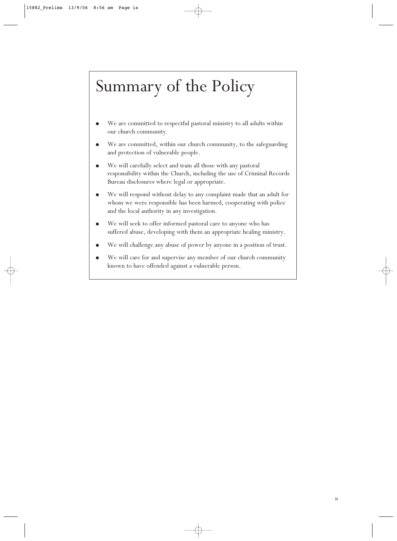## Summary of the Policy

- We are committed to respectful pastoral ministry to all adults within our church community.
- We are committed, within our church community, to the safeguarding and protection of vulnerable people.
- We will carefully select and train all those with any pastoral responsibility within the Church, including the use of Criminal Records Bureau disclosures where legal or appropriate.
- We will respond without delay to any complaint made that an adult for whom we were responsible has been harmed, cooperating with police and the local authority in any investigation.
- We will seek to offer informed pastoral care to anyone who has suffered abuse, developing with them an appropriate healing ministry.
- We will challenge any abuse of power by anyone in a position of trust.
- We will care for and supervise any member of our church community known to have offended against a vulnerable person.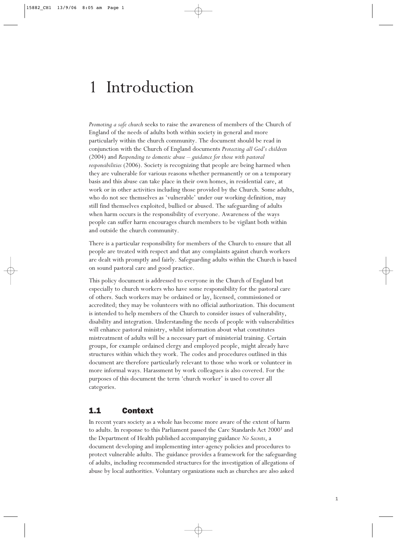## 1 Introduction

*Promoting a safe church* seeks to raise the awareness of members of the Church of England of the needs of adults both within society in general and more particularly within the church community. The document should be read in conjunction with the Church of England documents *Protecting all God's children* (2004) and *Responding to domestic abuse – guidance for those with pastoral responsibilities* (2006). Society is recognizing that people are being harmed when they are vulnerable for various reasons whether permanently or on a temporary basis and this abuse can take place in their own homes, in residential care, at work or in other activities including those provided by the Church. Some adults, who do not see themselves as 'vulnerable' under our working definition, may still find themselves exploited, bullied or abused. The safeguarding of adults when harm occurs is the responsibility of everyone. Awareness of the ways people can suffer harm encourages church members to be vigilant both within and outside the church community.

There is a particular responsibility for members of the Church to ensure that all people are treated with respect and that any complaints against church workers are dealt with promptly and fairly. Safeguarding adults within the Church is based on sound pastoral care and good practice.

This policy document is addressed to everyone in the Church of England but especially to church workers who have some responsibility for the pastoral care of others. Such workers may be ordained or lay, licensed, commissioned or accredited; they may be volunteers with no official authorization. This document is intended to help members of the Church to consider issues of vulnerability, disability and integration. Understanding the needs of people with vulnerabilities will enhance pastoral ministry, whilst information about what constitutes mistreatment of adults will be a necessary part of ministerial training. Certain groups, for example ordained clergy and employed people, might already have structures within which they work. The codes and procedures outlined in this document are therefore particularly relevant to those who work or volunteer in more informal ways. Harassment by work colleagues is also covered. For the purposes of this document the term 'church worker' is used to cover all categories.

## 1.1 Context

In recent years society as a whole has become more aware of the extent of harm to adults. In response to this Parliament passed the Care Standards Act 2000<sup>1</sup> and the Department of Health published accompanying guidance *No Secrets*, a document developing and implementing inter-agency policies and procedures to protect vulnerable adults. The guidance provides a framework for the safeguarding of adults, including recommended structures for the investigation of allegations of abuse by local authorities. Voluntary organizations such as churches are also asked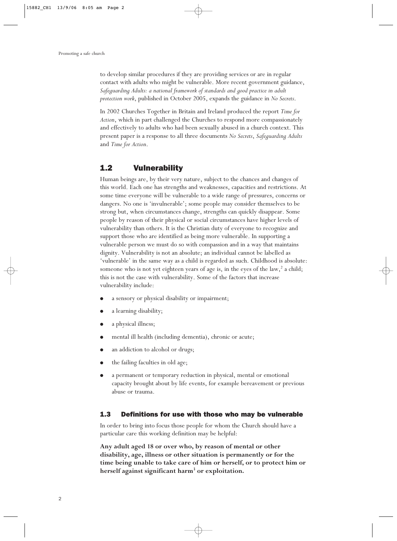to develop similar procedures if they are providing services or are in regular contact with adults who might be vulnerable. More recent government guidance, *Safeguarding Adults: a national framework of standards and good practice in adult protection work*, published in October 2005, expands the guidance in *No Secrets*.

In 2002 Churches Together in Britain and Ireland produced the report *Time for Action*, which in part challenged the Churches to respond more compassionately and effectively to adults who had been sexually abused in a church context. This present paper is a response to all three documents *No Secrets*, *Safeguarding Adults* and *Time for Action*.

### 1.2 Vulnerability

Human beings are, by their very nature, subject to the chances and changes of this world. Each one has strengths and weaknesses, capacities and restrictions. At some time everyone will be vulnerable to a wide range of pressures, concerns or dangers. No one is 'invulnerable'; some people may consider themselves to be strong but, when circumstances change, strengths can quickly disappear. Some people by reason of their physical or social circumstances have higher levels of vulnerability than others. It is the Christian duty of everyone to recognize and support those who are identified as being more vulnerable. In supporting a vulnerable person we must do so with compassion and in a way that maintains dignity. Vulnerability is not an absolute; an individual cannot be labelled as 'vulnerable' in the same way as a child is regarded as such. Childhood is absolute: someone who is not yet eighteen years of age is, in the eyes of the law,<sup>2</sup> a child; this is not the case with vulnerability. Some of the factors that increase vulnerability include:

- a sensory or physical disability or impairment;
- a learning disability;
- a physical illness;
- mental ill health (including dementia), chronic or acute;
- an addiction to alcohol or drugs;
- the failing faculties in old age;
- a permanent or temporary reduction in physical, mental or emotional capacity brought about by life events, for example bereavement or previous abuse or trauma.

#### 1.3 Definitions for use with those who may be vulnerable

In order to bring into focus those people for whom the Church should have a particular care this working definition may be helpful:

**Any adult aged 18 or over who, by reason of mental or other disability, age, illness or other situation is permanently or for the time being unable to take care of him or herself, or to protect him or herself against significant harm3 or exploitation.**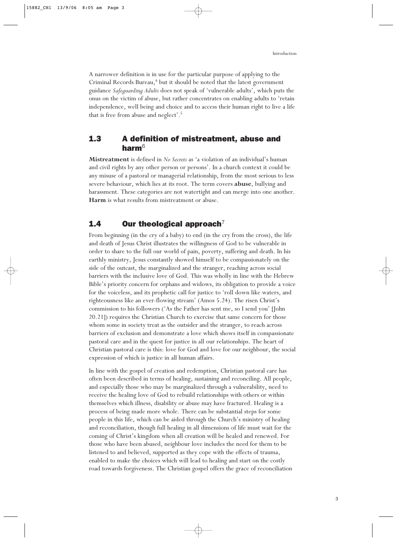A narrower definition is in use for the particular purpose of applying to the Criminal Records Bureau,<sup>4</sup> but it should be noted that the latest government guidance *Safeguarding Adults* does not speak of 'vulnerable adults', which puts the onus on the victim of abuse, but rather concentrates on enabling adults to 'retain independence, well being and choice and to access their human right to live a life that is free from abuse and neglect'.5

### 1.3 A definition of mistreatment, abuse and harm $6$

**Mistreatment** is defined in *No Secrets* as 'a violation of an individual's human and civil rights by any other person or persons'. In a church context it could be any misuse of a pastoral or managerial relationship, from the most serious to less severe behaviour, which lies at its root. The term covers **abuse**, bullying and harassment. These categories are not watertight and can merge into one another. **Harm** is what results from mistreatment or abuse.

## 1.4 Our theological approach<sup>7</sup>

From beginning (in the cry of a baby) to end (in the cry from the cross), the life and death of Jesus Christ illustrates the willingness of God to be vulnerable in order to share to the full our world of pain, poverty, suffering and death. In his earthly ministry, Jesus constantly showed himself to be compassionately on the side of the outcast, the marginalized and the stranger, reaching across social barriers with the inclusive love of God. This was wholly in line with the Hebrew Bible's priority concern for orphans and widows, its obligation to provide a voice for the voiceless, and its prophetic call for justice to 'roll down like waters, and righteousness like an ever-flowing stream' (Amos 5.24). The risen Christ's commission to his followers ('As the Father has sent me, so I send you' [John 20.21]) requires the Christian Church to exercise that same concern for those whom some in society treat as the outsider and the stranger, to reach across barriers of exclusion and demonstrate a love which shows itself in compassionate pastoral care and in the quest for justice in all our relationships. The heart of Christian pastoral care is this: love for God and love for our neighbour, the social expression of which is justice in all human affairs.

In line with the gospel of creation and redemption, Christian pastoral care has often been described in terms of healing, sustaining and reconciling. All people, and especially those who may be marginalized through a vulnerability, need to receive the healing love of God to rebuild relationships with others or within themselves which illness, disability or abuse may have fractured. Healing is a process of being made more whole. There can be substantial steps for some people in this life, which can be aided through the Church's ministry of healing and reconciliation, though full healing in all dimensions of life must wait for the coming of Christ's kingdom when all creation will be healed and renewed. For those who have been abused, neighbour love includes the need for them to be listened to and believed, supported as they cope with the effects of trauma, enabled to make the choices which will lead to healing and start on the costly road towards forgiveness. The Christian gospel offers the grace of reconciliation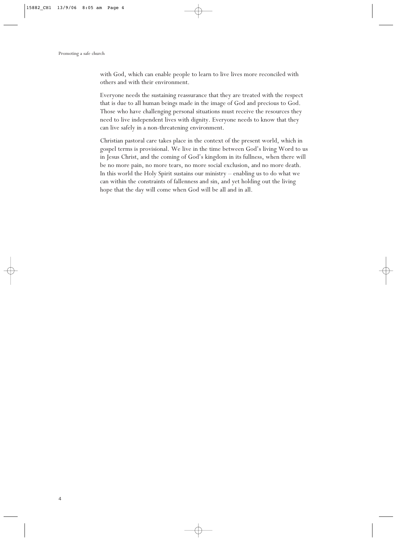with God, which can enable people to learn to live lives more reconciled with others and with their environment.

Everyone needs the sustaining reassurance that they are treated with the respect that is due to all human beings made in the image of God and precious to God. Those who have challenging personal situations must receive the resources they need to live independent lives with dignity. Everyone needs to know that they can live safely in a non-threatening environment.

Christian pastoral care takes place in the context of the present world, which in gospel terms is provisional. We live in the time between God's living Word to us in Jesus Christ, and the coming of God's kingdom in its fullness, when there will be no more pain, no more tears, no more social exclusion, and no more death. In this world the Holy Spirit sustains our ministry – enabling us to do what we can within the constraints of fallenness and sin, and yet holding out the living hope that the day will come when God will be all and in all.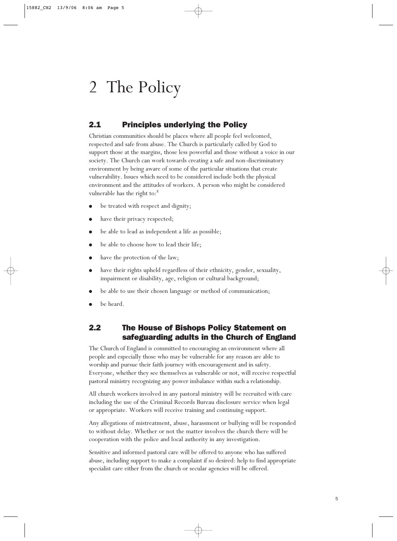## 2 The Policy

## 2.1 Principles underlying the Policy

Christian communities should be places where all people feel welcomed, respected and safe from abuse. The Church is particularly called by God to support those at the margins, those less powerful and those without a voice in our society. The Church can work towards creating a safe and non-discriminatory environment by being aware of some of the particular situations that create vulnerability. Issues which need to be considered include both the physical environment and the attitudes of workers. A person who might be considered vulnerable has the right to:<sup>8</sup>

- be treated with respect and dignity;
- have their privacy respected;
- be able to lead as independent a life as possible;
- be able to choose how to lead their life;
- have the protection of the law;
- have their rights upheld regardless of their ethnicity, gender, sexuality, impairment or disability, age, religion or cultural background;
- be able to use their chosen language or method of communication;
- be heard.

## 2.2 The House of Bishops Policy Statement on safeguarding adults in the Church of England

The Church of England is committed to encouraging an environment where all people and especially those who may be vulnerable for any reason are able to worship and pursue their faith journey with encouragement and in safety. Everyone, whether they see themselves as vulnerable or not, will receive respectful pastoral ministry recognizing any power imbalance within such a relationship.

All church workers involved in any pastoral ministry will be recruited with care including the use of the Criminal Records Bureau disclosure service when legal or appropriate. Workers will receive training and continuing support.

Any allegations of mistreatment, abuse, harassment or bullying will be responded to without delay. Whether or not the matter involves the church there will be cooperation with the police and local authority in any investigation.

Sensitive and informed pastoral care will be offered to anyone who has suffered abuse, including support to make a complaint if so desired: help to find appropriate specialist care either from the church or secular agencies will be offered.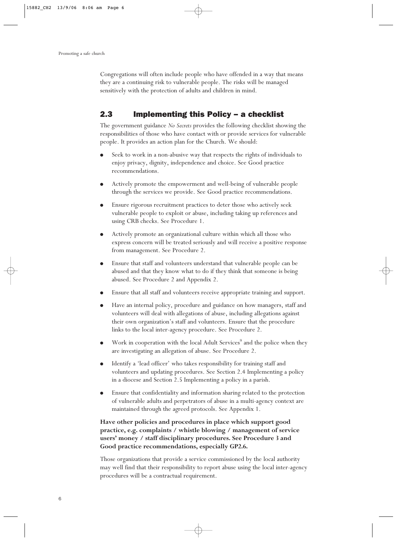Congregations will often include people who have offended in a way that means they are a continuing risk to vulnerable people. The risks will be managed sensitively with the protection of adults and children in mind.

## 2.3 Implementing this Policy – a checklist

The government guidance *No Secrets* provides the following checklist showing the responsibilities of those who have contact with or provide services for vulnerable people. It provides an action plan for the Church. We should:

- Seek to work in a non-abusive way that respects the rights of individuals to enjoy privacy, dignity, independence and choice. See Good practice recommendations.
- Actively promote the empowerment and well-being of vulnerable people through the services we provide. See Good practice recommendations.
- Ensure rigorous recruitment practices to deter those who actively seek vulnerable people to exploit or abuse, including taking up references and using CRB checks. See Procedure 1.
- Actively promote an organizational culture within which all those who express concern will be treated seriously and will receive a positive response from management. See Procedure 2.
- Ensure that staff and volunteers understand that vulnerable people can be abused and that they know what to do if they think that someone is being abused. See Procedure 2 and Appendix 2.
- Ensure that all staff and volunteers receive appropriate training and support.
- Have an internal policy, procedure and guidance on how managers, staff and volunteers will deal with allegations of abuse, including allegations against their own organization's staff and volunteers. Ensure that the procedure links to the local inter-agency procedure. See Procedure 2.
- Work in cooperation with the local Adult Services<sup>9</sup> and the police when they are investigating an allegation of abuse. See Procedure 2.
- Identify a 'lead officer' who takes responsibility for training staff and volunteers and updating procedures. See Section 2.4 Implementing a policy in a diocese and Section 2.5 Implementing a policy in a parish.
- Ensure that confidentiality and information sharing related to the protection of vulnerable adults and perpetrators of abuse in a multi-agency context are maintained through the agreed protocols. See Appendix 1.

#### **Have other policies and procedures in place which support good practice, e.g. complaints / whistle blowing / management of service users' money / staff disciplinary procedures. See Procedure 3 and Good practice recommendations, especially GP2.6.**

Those organizations that provide a service commissioned by the local authority may well find that their responsibility to report abuse using the local inter-agency procedures will be a contractual requirement.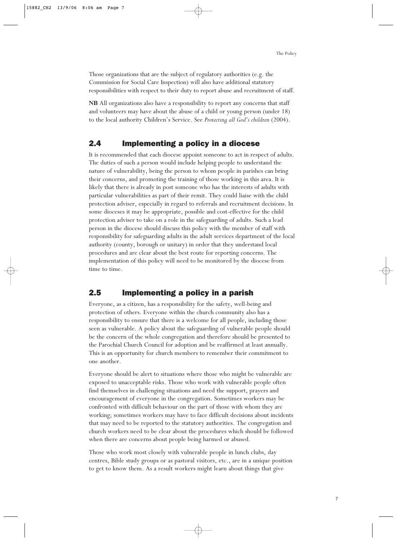Those organizations that are the subject of regulatory authorities (e.g. the Commission for Social Care Inspection) will also have additional statutory responsibilities with respect to their duty to report abuse and recruitment of staff.

**NB** All organizations also have a responsibility to report any concerns that staff and volunteers may have about the abuse of a child or young person (under 18) to the local authority Children's Service. See *Protecting all God's children* (2004).

### 2.4 Implementing a policy in a diocese

It is recommended that each diocese appoint someone to act in respect of adults. The duties of such a person would include helping people to understand the nature of vulnerability, being the person to whom people in parishes can bring their concerns, and promoting the training of those working in this area. It is likely that there is already in post someone who has the interests of adults with particular vulnerabilities as part of their remit. They could liaise with the child protection adviser, especially in regard to referrals and recruitment decisions. In some dioceses it may be appropriate, possible and cost-effective for the child protection adviser to take on a role in the safeguarding of adults. Such a lead person in the diocese should discuss this policy with the member of staff with responsibility for safeguarding adults in the adult services department of the local authority (county, borough or unitary) in order that they understand local procedures and are clear about the best route for reporting concerns. The implementation of this policy will need to be monitored by the diocese from time to time.

### 2.5 Implementing a policy in a parish

Everyone, as a citizen, has a responsibility for the safety, well-being and protection of others. Everyone within the church community also has a responsibility to ensure that there is a welcome for all people, including those seen as vulnerable. A policy about the safeguarding of vulnerable people should be the concern of the whole congregation and therefore should be presented to the Parochial Church Council for adoption and be reaffirmed at least annually. This is an opportunity for church members to remember their commitment to one another.

Everyone should be alert to situations where those who might be vulnerable are exposed to unacceptable risks. Those who work with vulnerable people often find themselves in challenging situations and need the support, prayers and encouragement of everyone in the congregation. Sometimes workers may be confronted with difficult behaviour on the part of those with whom they are working; sometimes workers may have to face difficult decisions about incidents that may need to be reported to the statutory authorities. The congregation and church workers need to be clear about the procedures which should be followed when there are concerns about people being harmed or abused.

Those who work most closely with vulnerable people in lunch clubs, day centres, Bible study groups or as pastoral visitors, etc., are in a unique position to get to know them. As a result workers might learn about things that give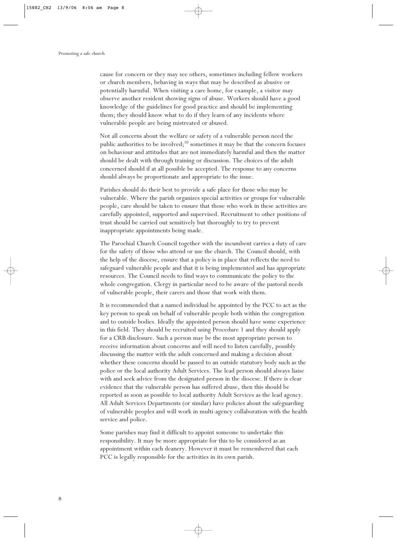cause for concern or they may see others, sometimes including fellow workers or church members, behaving in ways that may be described as abusive or potentially harmful. When visiting a care home, for example, a visitor may observe another resident showing signs of abuse. Workers should have a good knowledge of the guidelines for good practice and should be implementing them; they should know what to do if they learn of any incidents where vulnerable people are being mistreated or abused.

Not all concerns about the welfare or safety of a vulnerable person need the public authorities to be involved; $^{10}$  sometimes it may be that the concern focuses on behaviour and attitudes that are not immediately harmful and then the matter should be dealt with through training or discussion. The choices of the adult concerned should if at all possible be accepted. The response to any concerns should always be proportionate and appropriate to the issue.

Parishes should do their best to provide a safe place for those who may be vulnerable. Where the parish organizes special activities or groups for vulnerable people, care should be taken to ensure that those who work in these activities are carefully appointed, supported and supervised. Recruitment to other positions of trust should be carried out sensitively but thoroughly to try to prevent inappropriate appointments being made.

The Parochial Church Council together with the incumbent carries a duty of care for the safety of those who attend or use the church. The Council should, with the help of the diocese, ensure that a policy is in place that reflects the need to safeguard vulnerable people and that it is being implemented and has appropriate resources. The Council needs to find ways to communicate the policy to the whole congregation. Clergy in particular need to be aware of the pastoral needs of vulnerable people, their carers and those that work with them.

It is recommended that a named individual be appointed by the PCC to act as the key person to speak on behalf of vulnerable people both within the congregation and to outside bodies. Ideally the appointed person should have some experience in this field. They should be recruited using Procedure 1 and they should apply for a CRB disclosure. Such a person may be the most appropriate person to receive information about concerns and will need to listen carefully, possibly discussing the matter with the adult concerned and making a decision about whether these concerns should be passed to an outside statutory body such as the police or the local authority Adult Services. The lead person should always liaise with and seek advice from the designated person in the diocese. If there is clear evidence that the vulnerable person has suffered abuse, then this should be reported as soon as possible to local authority Adult Services as the lead agency. All Adult Services Departments (or similar) have policies about the safeguarding of vulnerable peoples and will work in multi-agency collaboration with the health service and police.

Some parishes may find it difficult to appoint someone to undertake this responsibility. It may be more appropriate for this to be considered as an appointment within each deanery. However it must be remembered that each PCC is legally responsible for the activities in its own parish.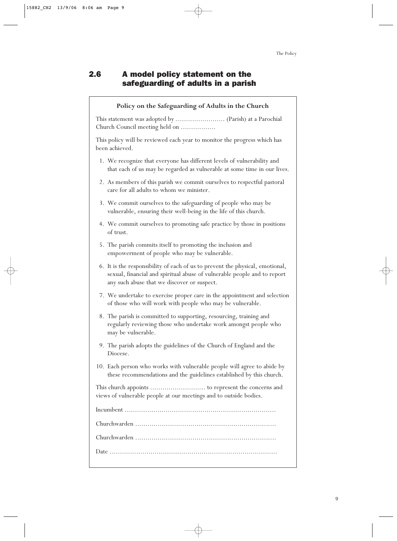## 2.6 A model policy statement on the safeguarding of adults in a parish

#### **Policy on the Safeguarding of Adults in the Church**

This statement was adopted by ........................ (Parish) at a Parochial Church Council meeting held on .................

This policy will be reviewed each year to monitor the progress which has been achieved.

- 1. We recognize that everyone has different levels of vulnerability and that each of us may be regarded as vulnerable at some time in our lives.
- 2. As members of this parish we commit ourselves to respectful pastoral care for all adults to whom we minister.
- 3. We commit ourselves to the safeguarding of people who may be vulnerable, ensuring their well-being in the life of this church.
- 4. We commit ourselves to promoting safe practice by those in positions of trust.
- 5. The parish commits itself to promoting the inclusion and empowerment of people who may be vulnerable.
- 6. It is the responsibility of each of us to prevent the physical, emotional, sexual, financial and spiritual abuse of vulnerable people and to report any such abuse that we discover or suspect.
- 7. We undertake to exercise proper care in the appointment and selection of those who will work with people who may be vulnerable.
- 8. The parish is committed to supporting, resourcing, training and regularly reviewing those who undertake work amongst people who may be vulnerable.
- 9. The parish adopts the guidelines of the Church of England and the Diocese.
- 10. Each person who works with vulnerable people will agree to abide by these recommendations and the guidelines established by this church.

This church appoints ........................... to represent the concerns and views of vulnerable people at our meetings and to outside bodies.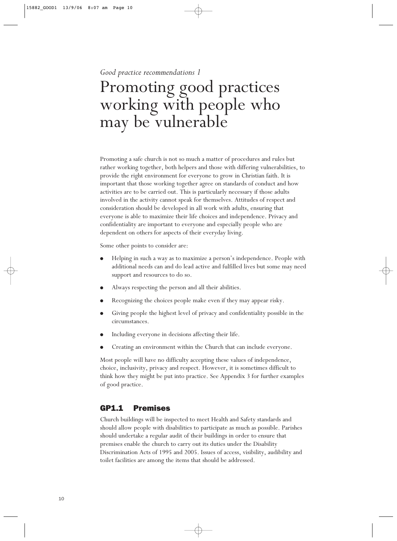*Good practice recommendations 1*

## Promoting good practices working with people who may be vulnerable

Promoting a safe church is not so much a matter of procedures and rules but rather working together, both helpers and those with differing vulnerabilities, to provide the right environment for everyone to grow in Christian faith. It is important that those working together agree on standards of conduct and how activities are to be carried out. This is particularly necessary if those adults involved in the activity cannot speak for themselves. Attitudes of respect and consideration should be developed in all work with adults, ensuring that everyone is able to maximize their life choices and independence. Privacy and confidentiality are important to everyone and especially people who are dependent on others for aspects of their everyday living.

Some other points to consider are:

- Helping in such a way as to maximize a person's independence. People with additional needs can and do lead active and fulfilled lives but some may need support and resources to do so.
- Always respecting the person and all their abilities.
- Recognizing the choices people make even if they may appear risky.
- Giving people the highest level of privacy and confidentiality possible in the circumstances.
- Including everyone in decisions affecting their life.
- Creating an environment within the Church that can include everyone.

Most people will have no difficulty accepting these values of independence, choice, inclusivity, privacy and respect. However, it is sometimes difficult to think how they might be put into practice. See Appendix 3 for further examples of good practice.

### GP1.1 Premises

Church buildings will be inspected to meet Health and Safety standards and should allow people with disabilities to participate as much as possible. Parishes should undertake a regular audit of their buildings in order to ensure that premises enable the church to carry out its duties under the Disability Discrimination Acts of 1995 and 2005. Issues of access, visibility, audibility and toilet facilities are among the items that should be addressed.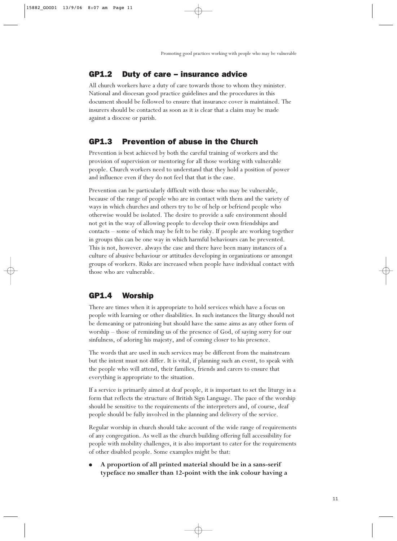### GP1.2 Duty of care – insurance advice

All church workers have a duty of care towards those to whom they minister. National and diocesan good practice guidelines and the procedures in this document should be followed to ensure that insurance cover is maintained. The insurers should be contacted as soon as it is clear that a claim may be made against a diocese or parish.

## GP1.3 Prevention of abuse in the Church

Prevention is best achieved by both the careful training of workers and the provision of supervision or mentoring for all those working with vulnerable people. Church workers need to understand that they hold a position of power and influence even if they do not feel that that is the case.

Prevention can be particularly difficult with those who may be vulnerable, because of the range of people who are in contact with them and the variety of ways in which churches and others try to be of help or befriend people who otherwise would be isolated. The desire to provide a safe environment should not get in the way of allowing people to develop their own friendships and contacts – some of which may be felt to be risky. If people are working together in groups this can be one way in which harmful behaviours can be prevented. This is not, however. always the case and there have been many instances of a culture of abusive behaviour or attitudes developing in organizations or amongst groups of workers. Risks are increased when people have individual contact with those who are vulnerable.

## GP1.4 Worship

There are times when it is appropriate to hold services which have a focus on people with learning or other disabilities. In such instances the liturgy should not be demeaning or patronizing but should have the same aims as any other form of worship – those of reminding us of the presence of God, of saying sorry for our sinfulness, of adoring his majesty, and of coming closer to his presence.

The words that are used in such services may be different from the mainstream but the intent must not differ. It is vital, if planning such an event, to speak with the people who will attend, their families, friends and carers to ensure that everything is appropriate to the situation.

If a service is primarily aimed at deaf people, it is important to set the liturgy in a form that reflects the structure of British Sign Language. The pace of the worship should be sensitive to the requirements of the interpreters and, of course, deaf people should be fully involved in the planning and delivery of the service.

Regular worship in church should take account of the wide range of requirements of any congregation. As well as the church building offering full accessibility for people with mobility challenges, it is also important to cater for the requirements of other disabled people. Some examples might be that:

● **A proportion of all printed material should be in a sans-serif typeface no smaller than 12-point with the ink colour having a**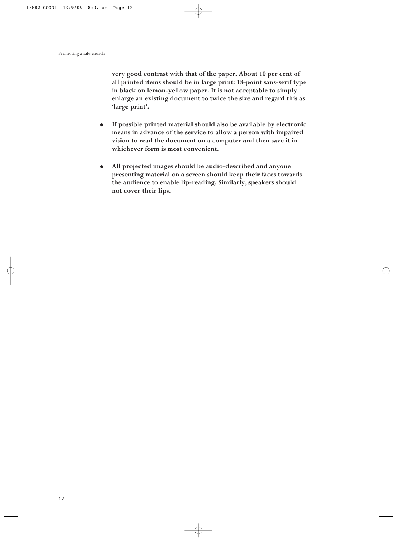**very good contrast with that of the paper. About 10 per cent of all printed items should be in large print: 18-point sans-serif type in black on lemon-yellow paper. It is not acceptable to simply enlarge an existing document to twice the size and regard this as 'large print'.**

- **If possible printed material should also be available by electronic means in advance of the service to allow a person with impaired vision to read the document on a computer and then save it in whichever form is most convenient.**
- **All projected images should be audio-described and anyone presenting material on a screen should keep their faces towards the audience to enable lip-reading. Similarly, speakers should not cover their lips.**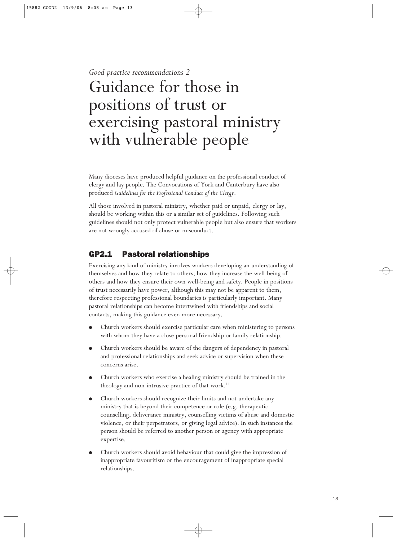*Good practice recommendations 2*

## Guidance for those in positions of trust or exercising pastoral ministry with vulnerable people

Many dioceses have produced helpful guidance on the professional conduct of clergy and lay people. The Convocations of York and Canterbury have also produced *Guidelines for the Professional Conduct of the Clergy*.

All those involved in pastoral ministry, whether paid or unpaid, clergy or lay, should be working within this or a similar set of guidelines. Following such guidelines should not only protect vulnerable people but also ensure that workers are not wrongly accused of abuse or misconduct.

## GP2.1 Pastoral relationships

Exercising any kind of ministry involves workers developing an understanding of themselves and how they relate to others, how they increase the well-being of others and how they ensure their own well-being and safety. People in positions of trust necessarily have power, although this may not be apparent to them, therefore respecting professional boundaries is particularly important. Many pastoral relationships can become intertwined with friendships and social contacts, making this guidance even more necessary.

- Church workers should exercise particular care when ministering to persons with whom they have a close personal friendship or family relationship.
- Church workers should be aware of the dangers of dependency in pastoral and professional relationships and seek advice or supervision when these concerns arise.
- Church workers who exercise a healing ministry should be trained in the theology and non-intrusive practice of that work.<sup>11</sup>
- Church workers should recognize their limits and not undertake any ministry that is beyond their competence or role (e.g. therapeutic counselling, deliverance ministry, counselling victims of abuse and domestic violence, or their perpetrators, or giving legal advice). In such instances the person should be referred to another person or agency with appropriate expertise.
- Church workers should avoid behaviour that could give the impression of inappropriate favouritism or the encouragement of inappropriate special relationships.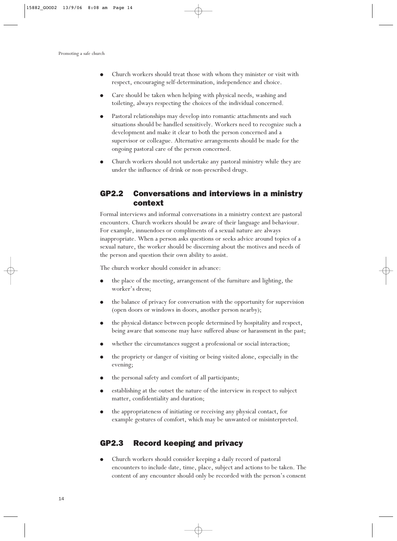- Church workers should treat those with whom they minister or visit with respect, encouraging self-determination, independence and choice.
- Care should be taken when helping with physical needs, washing and toileting, always respecting the choices of the individual concerned.
- Pastoral relationships may develop into romantic attachments and such situations should be handled sensitively. Workers need to recognize such a development and make it clear to both the person concerned and a supervisor or colleague. Alternative arrangements should be made for the ongoing pastoral care of the person concerned.
- Church workers should not undertake any pastoral ministry while they are under the influence of drink or non-prescribed drugs.

## GP2.2 Conversations and interviews in a ministry context

Formal interviews and informal conversations in a ministry context are pastoral encounters. Church workers should be aware of their language and behaviour. For example, innuendoes or compliments of a sexual nature are always inappropriate. When a person asks questions or seeks advice around topics of a sexual nature, the worker should be discerning about the motives and needs of the person and question their own ability to assist.

The church worker should consider in advance:

- the place of the meeting, arrangement of the furniture and lighting, the worker's dress;
- the balance of privacy for conversation with the opportunity for supervision (open doors or windows in doors, another person nearby);
- the physical distance between people determined by hospitality and respect, being aware that someone may have suffered abuse or harassment in the past;
- whether the circumstances suggest a professional or social interaction;
- the propriety or danger of visiting or being visited alone, especially in the evening;
- the personal safety and comfort of all participants;
- establishing at the outset the nature of the interview in respect to subject matter, confidentiality and duration;
- the appropriateness of initiating or receiving any physical contact, for example gestures of comfort, which may be unwanted or misinterpreted.

### GP2.3 Record keeping and privacy

Church workers should consider keeping a daily record of pastoral encounters to include date, time, place, subject and actions to be taken. The content of any encounter should only be recorded with the person's consent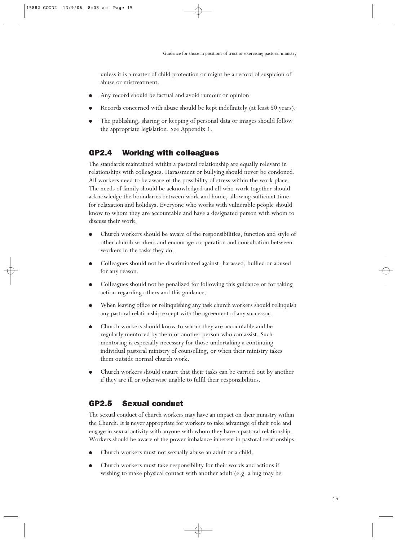unless it is a matter of child protection or might be a record of suspicion of abuse or mistreatment.

- Any record should be factual and avoid rumour or opinion.
- Records concerned with abuse should be kept indefinitely (at least 50 years).
- The publishing, sharing or keeping of personal data or images should follow the appropriate legislation. See Appendix 1.

## GP2.4 Working with colleagues

The standards maintained within a pastoral relationship are equally relevant in relationships with colleagues. Harassment or bullying should never be condoned. All workers need to be aware of the possibility of stress within the work place. The needs of family should be acknowledged and all who work together should acknowledge the boundaries between work and home, allowing sufficient time for relaxation and holidays. Everyone who works with vulnerable people should know to whom they are accountable and have a designated person with whom to discuss their work.

- Church workers should be aware of the responsibilities, function and style of other church workers and encourage cooperation and consultation between workers in the tasks they do.
- Colleagues should not be discriminated against, harassed, bullied or abused for any reason.
- Colleagues should not be penalized for following this guidance or for taking action regarding others and this guidance.
- When leaving office or relinquishing any task church workers should relinquish any pastoral relationship except with the agreement of any successor.
- Church workers should know to whom they are accountable and be regularly mentored by them or another person who can assist. Such mentoring is especially necessary for those undertaking a continuing individual pastoral ministry of counselling, or when their ministry takes them outside normal church work.
- Church workers should ensure that their tasks can be carried out by another if they are ill or otherwise unable to fulfil their responsibilities.

## GP2.5 Sexual conduct

The sexual conduct of church workers may have an impact on their ministry within the Church. It is never appropriate for workers to take advantage of their role and engage in sexual activity with anyone with whom they have a pastoral relationship. Workers should be aware of the power imbalance inherent in pastoral relationships.

- Church workers must not sexually abuse an adult or a child.
- Church workers must take responsibility for their words and actions if wishing to make physical contact with another adult (e.g. a hug may be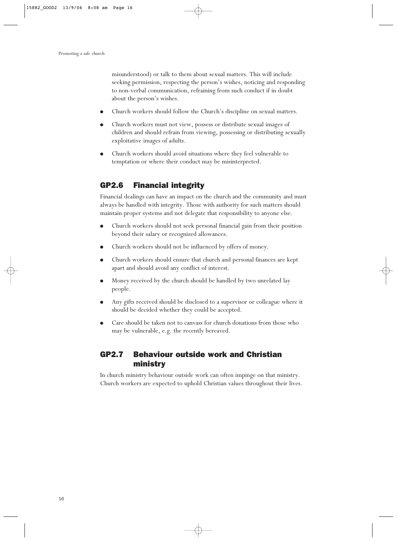misunderstood) or talk to them about sexual matters. This will include seeking permission, respecting the person's wishes, noticing and responding to non-verbal communication, refraining from such conduct if in doubt about the person's wishes.

- Church workers should follow the Church's discipline on sexual matters.
- Church workers must not view, possess or distribute sexual images of children and should refrain from viewing, possessing or distributing sexually exploitative images of adults.
- Church workers should avoid situations where they feel vulnerable to temptation or where their conduct may be misinterpreted.

### GP2.6 Financial integrity

Financial dealings can have an impact on the church and the community and must always be handled with integrity. Those with authority for such matters should maintain proper systems and not delegate that responsibility to anyone else.

- Church workers should not seek personal financial gain from their position beyond their salary or recognized allowances.
- Church workers should not be influenced by offers of money.
- Church workers should ensure that church and personal finances are kept apart and should avoid any conflict of interest.
- Money received by the church should be handled by two unrelated lay people.
- Any gifts received should be disclosed to a supervisor or colleague where it should be decided whether they could be accepted.
- Care should be taken not to canvass for church donations from those who may be vulnerable, e.g. the recently bereaved.

## GP2.7 Behaviour outside work and Christian ministry

In church ministry behaviour outside work can often impinge on that ministry. Church workers are expected to uphold Christian values throughout their lives.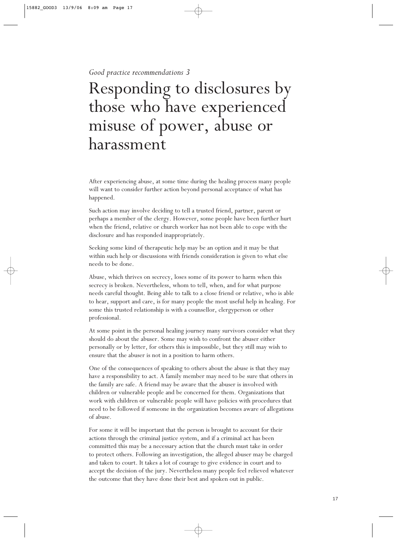*Good practice recommendations 3*

## Responding to disclosures by those who have experienced misuse of power, abuse or harassment

After experiencing abuse, at some time during the healing process many people will want to consider further action beyond personal acceptance of what has happened.

Such action may involve deciding to tell a trusted friend, partner, parent or perhaps a member of the clergy. However, some people have been further hurt when the friend, relative or church worker has not been able to cope with the disclosure and has responded inappropriately.

Seeking some kind of therapeutic help may be an option and it may be that within such help or discussions with friends consideration is given to what else needs to be done.

Abuse, which thrives on secrecy, loses some of its power to harm when this secrecy is broken. Nevertheless, whom to tell, when, and for what purpose needs careful thought. Being able to talk to a close friend or relative, who is able to hear, support and care, is for many people the most useful help in healing. For some this trusted relationship is with a counsellor, clergyperson or other professional.

At some point in the personal healing journey many survivors consider what they should do about the abuser. Some may wish to confront the abuser either personally or by letter, for others this is impossible, but they still may wish to ensure that the abuser is not in a position to harm others.

One of the consequences of speaking to others about the abuse is that they may have a responsibility to act. A family member may need to be sure that others in the family are safe. A friend may be aware that the abuser is involved with children or vulnerable people and be concerned for them. Organizations that work with children or vulnerable people will have policies with procedures that need to be followed if someone in the organization becomes aware of allegations of abuse.

For some it will be important that the person is brought to account for their actions through the criminal justice system, and if a criminal act has been committed this may be a necessary action that the church must take in order to protect others. Following an investigation, the alleged abuser may be charged and taken to court. It takes a lot of courage to give evidence in court and to accept the decision of the jury. Nevertheless many people feel relieved whatever the outcome that they have done their best and spoken out in public.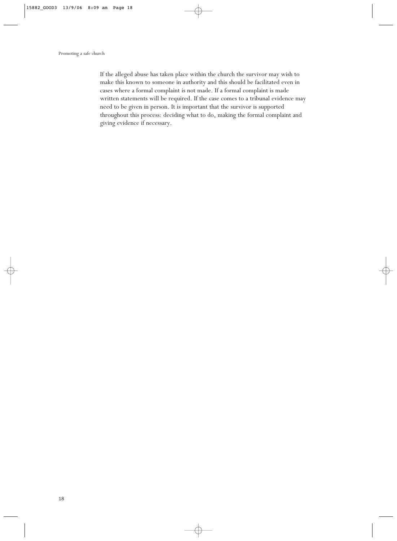If the alleged abuse has taken place within the church the survivor may wish to make this known to someone in authority and this should be facilitated even in cases where a formal complaint is not made. If a formal complaint is made written statements will be required. If the case comes to a tribunal evidence may need to be given in person. It is important that the survivor is supported throughout this process: deciding what to do, making the formal complaint and giving evidence if necessary.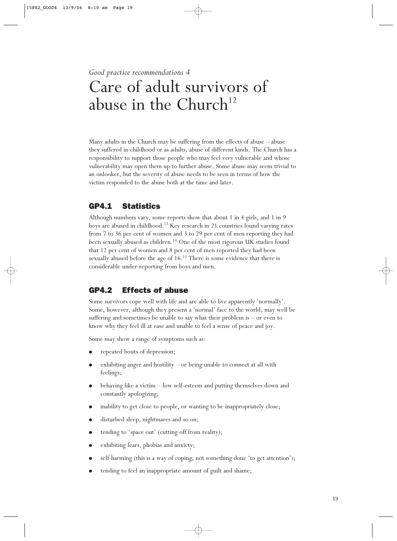*Good practice recommendations 4*

## Care of adult survivors of abuse in the Church<sup>12</sup>

Many adults in the Church may be suffering from the effects of abuse – abuse they suffered in childhood or as adults, abuse of different kinds. The Church has a responsibility to support those people who may feel very vulnerable and whose vulnerability may open them up to further abuse. Some abuse may seem trivial to an onlooker, but the severity of abuse needs to be seen in terms of how the victim responded to the abuse both at the time and later.

## GP4.1 Statistics

Although numbers vary, some reports show that about 1 in 4 girls, and 1 in 9 boys are abused in childhood.13 Key research in 21 countries found varying rates from 7 to 36 per cent of women and 3 to 29 per cent of men reporting they had been sexually abused as children.<sup>14</sup> One of the most rigorous UK studies found that 12 per cent of women and 8 per cent of men reported they had been sexually abused before the age of 16.<sup>15</sup> There is some evidence that there is considerable under-reporting from boys and men.

## GP4.2 Effects of abuse

Some survivors cope well with life and are able to live apparently 'normally'. Some, however, although they present a 'normal' face to the world, may well be suffering and sometimes be unable to say what their problem is – or even to know why they feel ill at ease and unable to feel a sense of peace and joy.

Some may show a range of symptoms such as:

- repeated bouts of depression;
- exhibiting anger and hostility or being unable to connect at all with feelings;
- behaving like a victim  $-$  low self-esteem and putting themselves down and constantly apologizing;
- inability to get close to people, or wanting to be inappropriately close;
- disturbed sleep, nightmares and so on;
- tending to 'space out' (cutting off from reality);
- exhibiting fears, phobias and anxiety;
- self-harming (this is a way of coping, not something done 'to get attention');
- tending to feel an inappropriate amount of guilt and shame;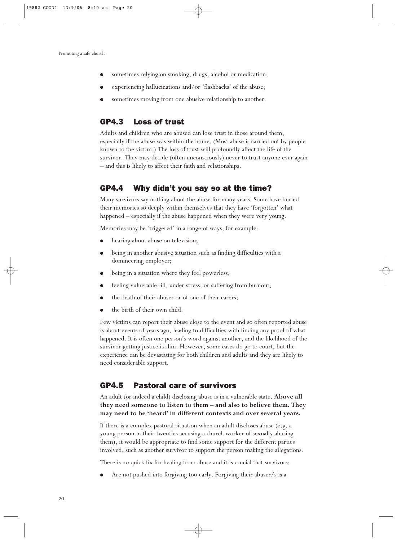- sometimes relying on smoking, drugs, alcohol or medication;
- experiencing hallucinations and/or 'flashbacks' of the abuse;
- sometimes moving from one abusive relationship to another.

### GP4.3 Loss of trust

Adults and children who are abused can lose trust in those around them, especially if the abuse was within the home. (Most abuse is carried out by people known to the victim.) The loss of trust will profoundly affect the life of the survivor. They may decide (often unconsciously) never to trust anyone ever again – and this is likely to affect their faith and relationships.

### GP4.4 Why didn't you say so at the time?

Many survivors say nothing about the abuse for many years. Some have buried their memories so deeply within themselves that they have 'forgotten' what happened – especially if the abuse happened when they were very young.

Memories may be 'triggered' in a range of ways, for example:

- hearing about abuse on television;
- being in another abusive situation such as finding difficulties with a domineering employer;
- being in a situation where they feel powerless;
- feeling vulnerable, ill, under stress, or suffering from burnout;
- the death of their abuser or of one of their carers;
- the birth of their own child.

Few victims can report their abuse close to the event and so often reported abuse is about events of years ago, leading to difficulties with finding any proof of what happened. It is often one person's word against another, and the likelihood of the survivor getting justice is slim. However, some cases do go to court, but the experience can be devastating for both children and adults and they are likely to need considerable support.

### GP4.5 Pastoral care of survivors

An adult (or indeed a child) disclosing abuse is in a vulnerable state. **Above all they need someone to listen to them – and also to believe them. They may need to be 'heard' in different contexts and over several years.**

If there is a complex pastoral situation when an adult discloses abuse (e.g. a young person in their twenties accusing a church worker of sexually abusing them), it would be appropriate to find some support for the different parties involved, such as another survivor to support the person making the allegations.

There is no quick fix for healing from abuse and it is crucial that survivors:

Are not pushed into forgiving too early. Forgiving their abuser/s is a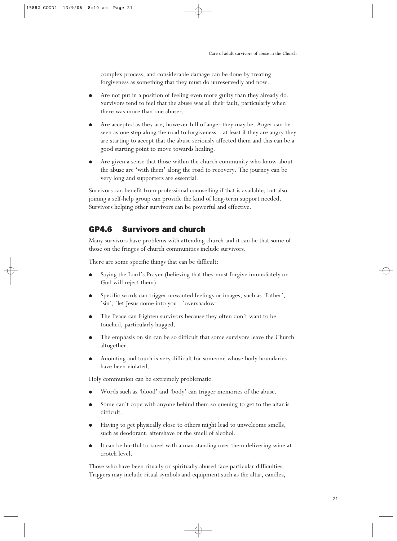complex process, and considerable damage can be done by treating forgiveness as something that they must do unreservedly and now.

- Are not put in a position of feeling even more guilty than they already do. Survivors tend to feel that the abuse was all their fault, particularly when there was more than one abuser.
- Are accepted as they are, however full of anger they may be. Anger can be seen as one step along the road to forgiveness – at least if they are angry they are starting to accept that the abuse seriously affected them and this can be a good starting point to move towards healing.
- Are given a sense that those within the church community who know about the abuse are 'with them' along the road to recovery. The journey can be very long and supporters are essential.

Survivors can benefit from professional counselling if that is available, but also joining a self-help group can provide the kind of long-term support needed. Survivors helping other survivors can be powerful and effective.

## GP4.6 Survivors and church

Many survivors have problems with attending church and it can be that some of those on the fringes of church communities include survivors.

There are some specific things that can be difficult:

- Saying the Lord's Prayer (believing that they must forgive immediately or God will reject them).
- Specific words can trigger unwanted feelings or images, such as 'Father', 'sin', 'let Jesus come into you', 'overshadow'.
- The Peace can frighten survivors because they often don't want to be touched, particularly hugged.
- The emphasis on sin can be so difficult that some survivors leave the Church altogether.
- Anointing and touch is very difficult for someone whose body boundaries have been violated.

Holy communion can be extremely problematic.

- Words such as 'blood' and 'body' can trigger memories of the abuse.
- Some can't cope with anyone behind them so queuing to get to the altar is difficult.
- Having to get physically close to others might lead to unwelcome smells, such as deodorant, aftershave or the smell of alcohol.
- It can be hurtful to kneel with a man standing over them delivering wine at crotch level.

Those who have been ritually or spiritually abused face particular difficulties. Triggers may include ritual symbols and equipment such as the altar, candles,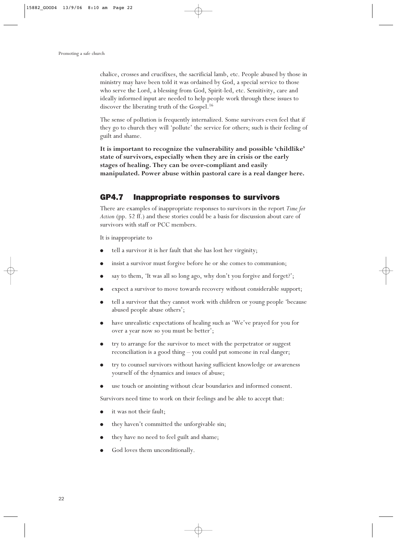chalice, crosses and crucifixes, the sacrificial lamb, etc. People abused by those in ministry may have been told it was ordained by God, a special service to those who serve the Lord, a blessing from God, Spirit-led, etc. Sensitivity, care and ideally informed input are needed to help people work through these issues to discover the liberating truth of the Gospel.<sup>16</sup>

The sense of pollution is frequently internalized. Some survivors even feel that if they go to church they will 'pollute' the service for others; such is their feeling of guilt and shame.

**It is important to recognize the vulnerability and possible 'childlike' state of survivors, especially when they are in crisis or the early stages of healing. They can be over-compliant and easily manipulated. Power abuse within pastoral care is a real danger here.**

### GP4.7 Inappropriate responses to survivors

There are examples of inappropriate responses to survivors in the report *Time for Action* (pp. 52 ff.) and these stories could be a basis for discussion about care of survivors with staff or PCC members.

It is inappropriate to

- tell a survivor it is her fault that she has lost her virginity;
- insist a survivor must forgive before he or she comes to communion;
- say to them, 'It was all so long ago, why don't you forgive and forget?';
- expect a survivor to move towards recovery without considerable support;
- tell a survivor that they cannot work with children or young people 'because abused people abuse others';
- have unrealistic expectations of healing such as 'We've prayed for you for over a year now so you must be better';
- try to arrange for the survivor to meet with the perpetrator or suggest reconciliation is a good thing – you could put someone in real danger;
- try to counsel survivors without having sufficient knowledge or awareness yourself of the dynamics and issues of abuse;
- use touch or anointing without clear boundaries and informed consent.

Survivors need time to work on their feelings and be able to accept that:

- it was not their fault;
- they haven't committed the unforgivable sin;
- they have no need to feel guilt and shame;
- God loves them unconditionally.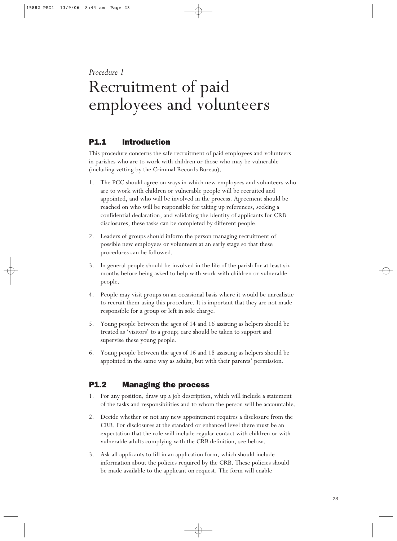*Procedure 1*

## Recruitment of paid employees and volunteers

## P1.1 Introduction

This procedure concerns the safe recruitment of paid employees and volunteers in parishes who are to work with children or those who may be vulnerable (including vetting by the Criminal Records Bureau).

- 1. The PCC should agree on ways in which new employees and volunteers who are to work with children or vulnerable people will be recruited and appointed, and who will be involved in the process. Agreement should be reached on who will be responsible for taking up references, seeking a confidential declaration, and validating the identity of applicants for CRB disclosures; these tasks can be completed by different people.
- 2. Leaders of groups should inform the person managing recruitment of possible new employees or volunteers at an early stage so that these procedures can be followed.
- 3. In general people should be involved in the life of the parish for at least six months before being asked to help with work with children or vulnerable people.
- 4. People may visit groups on an occasional basis where it would be unrealistic to recruit them using this procedure. It is important that they are not made responsible for a group or left in sole charge.
- 5. Young people between the ages of 14 and 16 assisting as helpers should be treated as 'visitors' to a group; care should be taken to support and supervise these young people.
- 6. Young people between the ages of 16 and 18 assisting as helpers should be appointed in the same way as adults, but with their parents' permission.

## P1.2 Managing the process

- 1. For any position, draw up a job description, which will include a statement of the tasks and responsibilities and to whom the person will be accountable.
- 2. Decide whether or not any new appointment requires a disclosure from the CRB. For disclosures at the standard or enhanced level there must be an expectation that the role will include regular contact with children or with vulnerable adults complying with the CRB definition, see below.
- 3. Ask all applicants to fill in an application form, which should include information about the policies required by the CRB. These policies should be made available to the applicant on request. The form will enable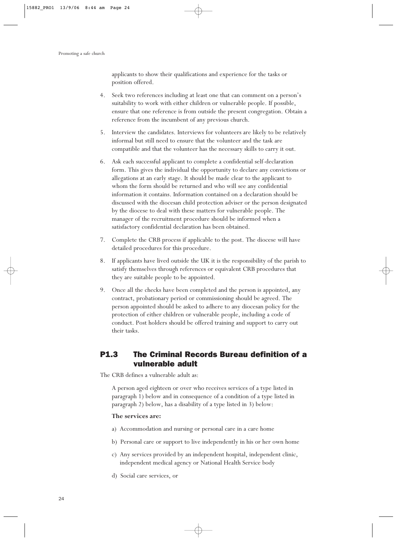applicants to show their qualifications and experience for the tasks or position offered.

- 4. Seek two references including at least one that can comment on a person's suitability to work with either children or vulnerable people. If possible, ensure that one reference is from outside the present congregation. Obtain a reference from the incumbent of any previous church.
- 5. Interview the candidates. Interviews for volunteers are likely to be relatively informal but still need to ensure that the volunteer and the task are compatible and that the volunteer has the necessary skills to carry it out.
- 6. Ask each successful applicant to complete a confidential self-declaration form. This gives the individual the opportunity to declare any convictions or allegations at an early stage. It should be made clear to the applicant to whom the form should be returned and who will see any confidential information it contains. Information contained on a declaration should be discussed with the diocesan child protection adviser or the person designated by the diocese to deal with these matters for vulnerable people. The manager of the recruitment procedure should be informed when a satisfactory confidential declaration has been obtained.
- 7. Complete the CRB process if applicable to the post. The diocese will have detailed procedures for this procedure.
- 8. If applicants have lived outside the UK it is the responsibility of the parish to satisfy themselves through references or equivalent CRB procedures that they are suitable people to be appointed.
- 9. Once all the checks have been completed and the person is appointed, any contract, probationary period or commissioning should be agreed. The person appointed should be asked to adhere to any diocesan policy for the protection of either children or vulnerable people, including a code of conduct. Post holders should be offered training and support to carry out their tasks.

## P1.3 The Criminal Records Bureau definition of a vulnerable adult

The CRB defines a vulnerable adult as:

A person aged eighteen or over who receives services of a type listed in paragraph 1) below and in consequence of a condition of a type listed in paragraph 2) below, has a disability of a type listed in 3) below:

#### **The services are:**

- a) Accommodation and nursing or personal care in a care home
- b) Personal care or support to live independently in his or her own home
- c) Any services provided by an independent hospital, independent clinic, independent medical agency or National Health Service body
- d) Social care services, or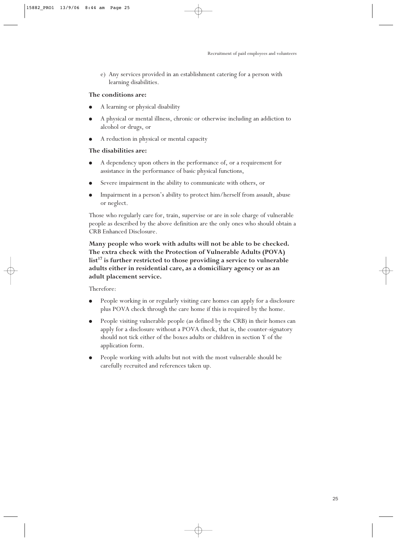e) Any services provided in an establishment catering for a person with learning disabilities.

#### **The conditions are:**

- A learning or physical disability
- A physical or mental illness, chronic or otherwise including an addiction to alcohol or drugs, or
- A reduction in physical or mental capacity

#### **The disabilities are:**

- A dependency upon others in the performance of, or a requirement for assistance in the performance of basic physical functions,
- Severe impairment in the ability to communicate with others, or
- Impairment in a person's ability to protect him/herself from assault, abuse or neglect.

Those who regularly care for, train, supervise or are in sole charge of vulnerable people as described by the above definition are the only ones who should obtain a CRB Enhanced Disclosure.

**Many people who work with adults will not be able to be checked. The extra check with the Protection of Vulnerable Adults (POVA) list17 is further restricted to those providing a service to vulnerable adults either in residential care, as a domiciliary agency or as an adult placement service.**

Therefore:

- People working in or regularly visiting care homes can apply for a disclosure plus POVA check through the care home if this is required by the home.
- People visiting vulnerable people (as defined by the CRB) in their homes can apply for a disclosure without a POVA check, that is, the counter-signatory should not tick either of the boxes adults or children in section Y of the application form.
- People working with adults but not with the most vulnerable should be carefully recruited and references taken up.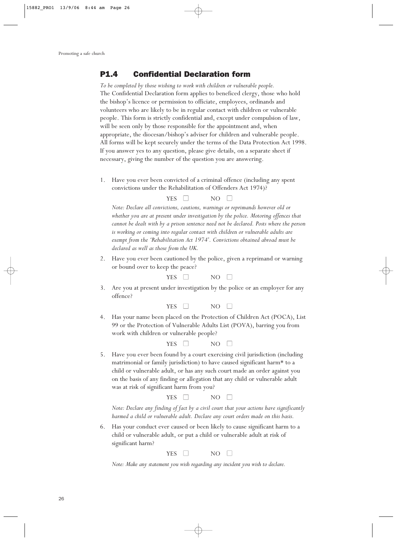### P1.4 Confidential Declaration form

*To be completed by those wishing to work with children or vulnerable people.* The Confidential Declaration form applies to beneficed clergy, those who hold the bishop's licence or permission to officiate, employees, ordinands and volunteers who are likely to be in regular contact with children or vulnerable people. This form is strictly confidential and, except under compulsion of law, will be seen only by those responsible for the appointment and, when appropriate, the diocesan/bishop's adviser for children and vulnerable people. All forms will be kept securely under the terms of the Data Protection Act 1998. If you answer yes to any question, please give details, on a separate sheet if necessary, giving the number of the question you are answering.

1. Have you ever been convicted of a criminal offence (including any spent convictions under the Rehabilitation of Offenders Act 1974)?

#### YES  $\Box$  NO  $\Box$

*Note: Declare all convictions, cautions, warnings or reprimands however old or whether you are at present under investigation by the police. Motoring offences that cannot be dealt with by a prison sentence need not be declared. Posts where the person is working or coming into regular contact with children or vulnerable adults are exempt from the 'Rehabilitation Act 1974'. Convictions obtained abroad must be declared as well as those from the UK.*

2. Have you ever been cautioned by the police, given a reprimand or warning or bound over to keep the peace?

 $YES \tN0 \tN0$ 

3. Are you at present under investigation by the police or an employer for any offence?

| <b>YES</b> | NΟ |  |
|------------|----|--|
|            |    |  |

4. Has your name been placed on the Protection of Children Act (POCA), List 99 or the Protection of Vulnerable Adults List (POVA), barring you from work with children or vulnerable people?



5. Have you ever been found by a court exercising civil jurisdiction (including matrimonial or family jurisdiction) to have caused significant harm\* to a child or vulnerable adult, or has any such court made an order against you on the basis of any finding or allegation that any child or vulnerable adult was at risk of significant harm from you?

| <b>YFS</b><br>. F.N | NO |  |
|---------------------|----|--|
|                     |    |  |

*Note: Declare any finding of fact by a civil court that your actions have significantly harmed a child or vulnerable adult. Declare any court orders made on this basis.*

6. Has your conduct ever caused or been likely to cause significant harm to a child or vulnerable adult, or put a child or vulnerable adult at risk of significant harm?

 $YES \tN0 \tN0$ 

*Note: Make any statement you wish regarding any incident you wish to declare.*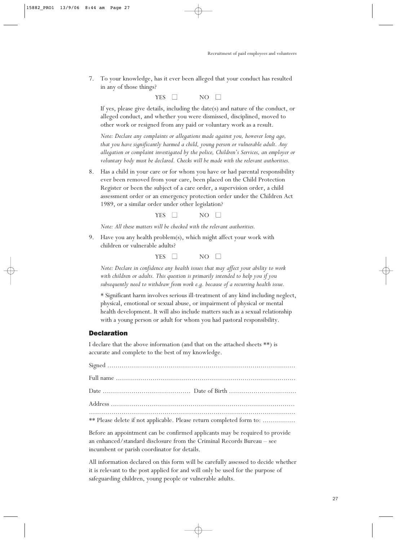7. To your knowledge, has it ever been alleged that your conduct has resulted in any of those things?

 $YES \tN0 \tN0$ 

If yes, please give details, including the date(s) and nature of the conduct, or alleged conduct, and whether you were dismissed, disciplined, moved to other work or resigned from any paid or voluntary work as a result.

*Note: Declare any complaints or allegations made against you, however long ago, that you have significantly harmed a child, young person or vulnerable adult. Any allegation or complaint investigated by the police, Children's Services, an employer or voluntary body must be declared. Checks will be made with the relevant authorities.*

8. Has a child in your care or for whom you have or had parental responsibility ever been removed from your care, been placed on the Child Protection Register or been the subject of a care order, a supervision order, a child assessment order or an emergency protection order under the Children Act 1989, or a similar order under other legislation?

| YES | NO. |  |
|-----|-----|--|
|     |     |  |

*Note: All these matters will be checked with the relevant authorities.*

9. Have you any health problem(s), which might affect your work with children or vulnerable adults?

| <b>VEC</b><br>NΟ<br>- F.N<br>T |
|--------------------------------|
|--------------------------------|

*Note: Declare in confidence any health issues that may affect your ability to work with children or adults. This question is primarily intended to help you if you subsequently need to withdraw from work e.g. because of a recurring health issue.*

\* Significant harm involves serious ill-treatment of any kind including neglect, physical, emotional or sexual abuse, or impairment of physical or mental health development. It will also include matters such as a sexual relationship with a young person or adult for whom you had pastoral responsibility.

#### Declaration

I declare that the above information (and that on the attached sheets \*\*) is accurate and complete to the best of my knowledge.

| ** Please delete if not applicable. Please return completed form to: |  |
|----------------------------------------------------------------------|--|

Before an appointment can be confirmed applicants may be required to provide an enhanced/standard disclosure from the Criminal Records Bureau – see incumbent or parish coordinator for details.

All information declared on this form will be carefully assessed to decide whether it is relevant to the post applied for and will only be used for the purpose of safeguarding children, young people or vulnerable adults.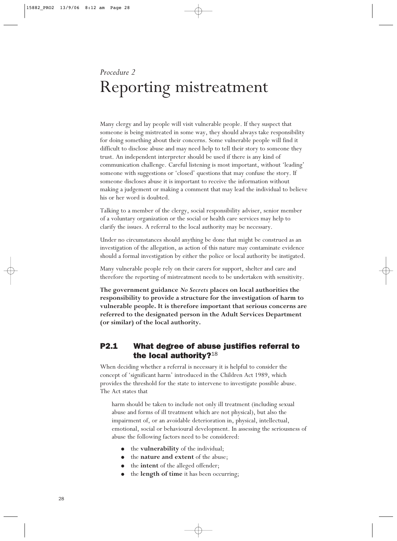## *Procedure 2* Reporting mistreatment

Many clergy and lay people will visit vulnerable people. If they suspect that someone is being mistreated in some way, they should always take responsibility for doing something about their concerns. Some vulnerable people will find it difficult to disclose abuse and may need help to tell their story to someone they trust. An independent interpreter should be used if there is any kind of communication challenge. Careful listening is most important, without 'leading' someone with suggestions or 'closed' questions that may confuse the story. If someone discloses abuse it is important to receive the information without making a judgement or making a comment that may lead the individual to believe his or her word is doubted.

Talking to a member of the clergy, social responsibility adviser, senior member of a voluntary organization or the social or health care services may help to clarify the issues. A referral to the local authority may be necessary.

Under no circumstances should anything be done that might be construed as an investigation of the allegation, as action of this nature may contaminate evidence should a formal investigation by either the police or local authority be instigated.

Many vulnerable people rely on their carers for support, shelter and care and therefore the reporting of mistreatment needs to be undertaken with sensitivity.

**The government guidance** *No Secrets* **places on local authorities the responsibility to provide a structure for the investigation of harm to vulnerable people. It is therefore important that serious concerns are referred to the designated person in the Adult Services Department (or similar) of the local authority.**

## P2.1 What degree of abuse justifies referral to the local authority? $18$

When deciding whether a referral is necessary it is helpful to consider the concept of 'significant harm' introduced in the Children Act 1989, which provides the threshold for the state to intervene to investigate possible abuse. The Act states that

harm should be taken to include not only ill treatment (including sexual abuse and forms of ill treatment which are not physical), but also the impairment of, or an avoidable deterioration in, physical, intellectual, emotional, social or behavioural development. In assessing the seriousness of abuse the following factors need to be considered:

- the **vulnerability** of the individual;
- the **nature and extent** of the abuse;
- the **intent** of the alleged offender;
- the **length of time** it has been occurring;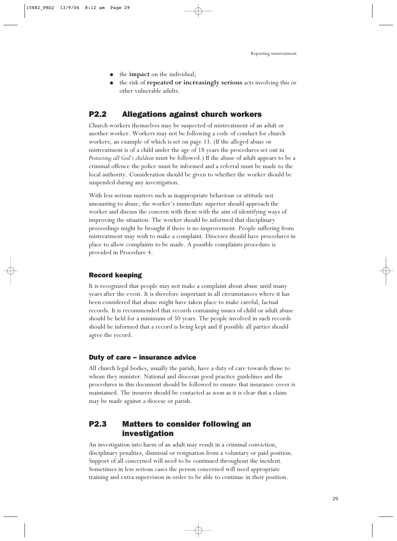- the **impact** on the individual;
- the risk of **repeated or increasingly serious** acts involving this or other vulnerable adults.

### P2.2 Allegations against church workers

Church workers themselves may be suspected of mistreatment of an adult or another worker. Workers may not be following a code of conduct for church workers, an example of which is set on page 13. (If the alleged abuse or mistreatment is of a child under the age of 18 years the procedures set out in *Protecting all God's children* must be followed.) If the abuse of adult appears to be a criminal offence the police must be informed and a referral must be made to the local authority. Consideration should be given to whether the worker should be suspended during any investigation.

With less serious matters such as inappropriate behaviour or attitude not amounting to abuse, the worker's immediate superior should approach the worker and discuss the concern with them with the aim of identifying ways of improving the situation. The worker should be informed that disciplinary proceedings might be brought if there is no improvement. People suffering from mistreatment may wish to make a complaint. Dioceses should have procedures in place to allow complaints to be made. A possible complaints procedure is provided in Procedure 4.

#### Record keeping

It is recognized that people may not make a complaint about abuse until many years after the event. It is therefore important in all circumstances where it has been considered that abuse might have taken place to make careful, factual records. It is recommended that records containing issues of child or adult abuse should be held for a minimum of 50 years. The people involved in such records should be informed that a record is being kept and if possible all parties should agree the record.

#### Duty of care – insurance advice

All church legal bodies, usually the parish, have a duty of care towards those to whom they minister. National and diocesan good practice guidelines and the procedures in this document should be followed to ensure that insurance cover is maintained. The insurers should be contacted as soon as it is clear that a claim may be made against a diocese or parish.

## P2.3 Matters to consider following an investigation

An investigation into harm of an adult may result in a criminal conviction, disciplinary penalties, dismissal or resignation from a voluntary or paid position. Support of all concerned will need to be continued throughout the incident. Sometimes in less serious cases the person concerned will need appropriate training and extra supervision in order to be able to continue in their position.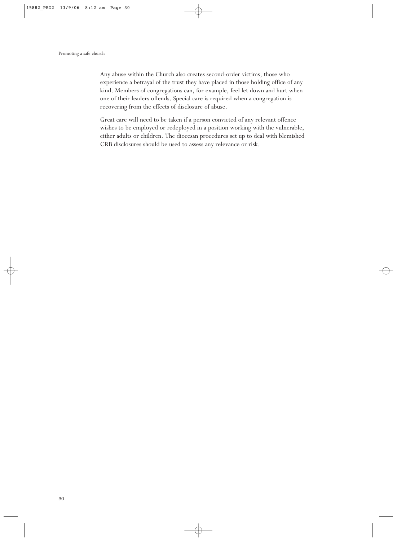Any abuse within the Church also creates second-order victims, those who experience a betrayal of the trust they have placed in those holding office of any kind. Members of congregations can, for example, feel let down and hurt when one of their leaders offends. Special care is required when a congregation is recovering from the effects of disclosure of abuse.

Great care will need to be taken if a person convicted of any relevant offence wishes to be employed or redeployed in a position working with the vulnerable, either adults or children. The diocesan procedures set up to deal with blemished CRB disclosures should be used to assess any relevance or risk.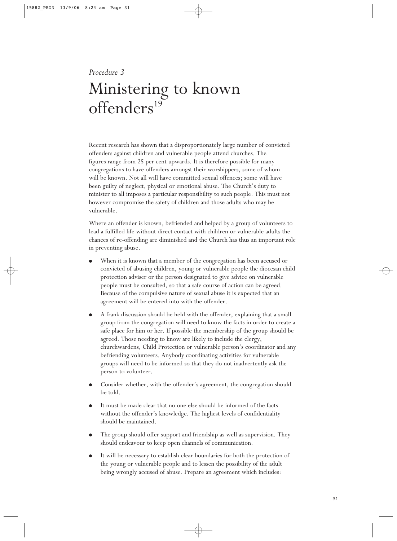#### *Procedure 3*

## Ministering to known  $offenders<sup>19</sup>$

Recent research has shown that a disproportionately large number of convicted offenders against children and vulnerable people attend churches. The figures range from 25 per cent upwards. It is therefore possible for many congregations to have offenders amongst their worshippers, some of whom will be known. Not all will have committed sexual offences; some will have been guilty of neglect, physical or emotional abuse. The Church's duty to minister to all imposes a particular responsibility to such people. This must not however compromise the safety of children and those adults who may be vulnerable.

Where an offender is known, befriended and helped by a group of volunteers to lead a fulfilled life without direct contact with children or vulnerable adults the chances of re-offending are diminished and the Church has thus an important role in preventing abuse.

- When it is known that a member of the congregation has been accused or convicted of abusing children, young or vulnerable people the diocesan child protection adviser or the person designated to give advice on vulnerable people must be consulted, so that a safe course of action can be agreed. Because of the compulsive nature of sexual abuse it is expected that an agreement will be entered into with the offender.
- A frank discussion should be held with the offender, explaining that a small group from the congregation will need to know the facts in order to create a safe place for him or her. If possible the membership of the group should be agreed. Those needing to know are likely to include the clergy, churchwardens, Child Protection or vulnerable person's coordinator and any befriending volunteers. Anybody coordinating activities for vulnerable groups will need to be informed so that they do not inadvertently ask the person to volunteer.
- Consider whether, with the offender's agreement, the congregation should be told.
- It must be made clear that no one else should be informed of the facts without the offender's knowledge. The highest levels of confidentiality should be maintained.
- The group should offer support and friendship as well as supervision. They should endeavour to keep open channels of communication.
- It will be necessary to establish clear boundaries for both the protection of the young or vulnerable people and to lessen the possibility of the adult being wrongly accused of abuse. Prepare an agreement which includes: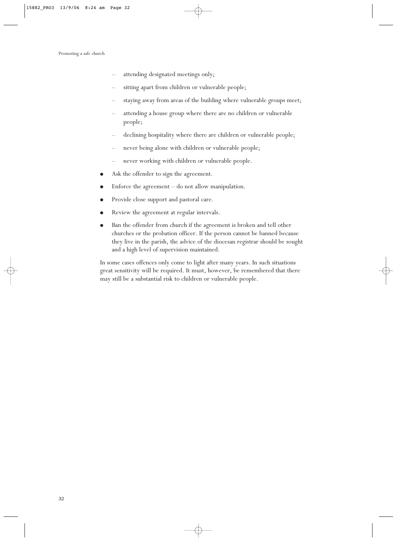- attending designated meetings only;
- sitting apart from children or vulnerable people;
- staying away from areas of the building where vulnerable groups meet;
- attending a house group where there are no children or vulnerable people;
- declining hospitality where there are children or vulnerable people;
- never being alone with children or vulnerable people;
- never working with children or vulnerable people.
- Ask the offender to sign the agreement.
- Enforce the agreement  $-$  do not allow manipulation.
- Provide close support and pastoral care.
- Review the agreement at regular intervals.
- Ban the offender from church if the agreement is broken and tell other churches or the probation officer. If the person cannot be banned because they live in the parish, the advice of the diocesan registrar should be sought and a high level of supervision maintained.

In some cases offences only come to light after many years. In such situations great sensitivity will be required. It must, however, be remembered that there may still be a substantial risk to children or vulnerable people.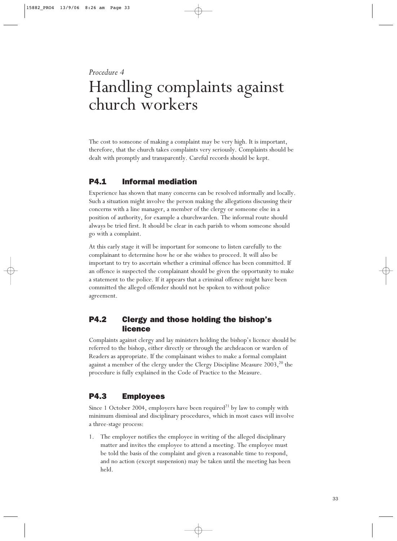## *Procedure 4* Handling complaints against church workers

The cost to someone of making a complaint may be very high. It is important, therefore, that the church takes complaints very seriously. Complaints should be dealt with promptly and transparently. Careful records should be kept.

## P4.1 Informal mediation

Experience has shown that many concerns can be resolved informally and locally. Such a situation might involve the person making the allegations discussing their concerns with a line manager, a member of the clergy or someone else in a position of authority, for example a churchwarden. The informal route should always be tried first. It should be clear in each parish to whom someone should go with a complaint.

At this early stage it will be important for someone to listen carefully to the complainant to determine how he or she wishes to proceed. It will also be important to try to ascertain whether a criminal offence has been committed. If an offence is suspected the complainant should be given the opportunity to make a statement to the police. If it appears that a criminal offence might have been committed the alleged offender should not be spoken to without police agreement.

## P4.2 Clergy and those holding the bishop's licence

Complaints against clergy and lay ministers holding the bishop's licence should be referred to the bishop, either directly or through the archdeacon or warden of Readers as appropriate. If the complainant wishes to make a formal complaint against a member of the clergy under the Clergy Discipline Measure  $2003$ ,<sup>20</sup> the procedure is fully explained in the Code of Practice to the Measure.

## P4.3 Employees

Since 1 October 2004, employers have been required<sup>21</sup> by law to comply with minimum dismissal and disciplinary procedures, which in most cases will involve a three-stage process:

1. The employer notifies the employee in writing of the alleged disciplinary matter and invites the employee to attend a meeting. The employee must be told the basis of the complaint and given a reasonable time to respond, and no action (except suspension) may be taken until the meeting has been held.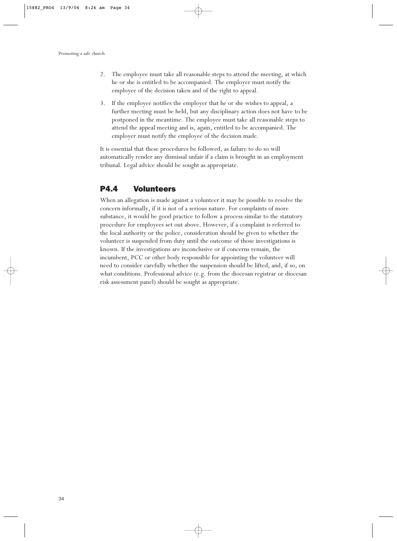- 2. The employee must take all reasonable steps to attend the meeting, at which he or she is entitled to be accompanied. The employer must notify the employee of the decision taken and of the right to appeal.
- 3. If the employee notifies the employer that he or she wishes to appeal, a further meeting must be held, but any disciplinary action does not have to be postponed in the meantime. The employee must take all reasonable steps to attend the appeal meeting and is, again, entitled to be accompanied. The employer must notify the employee of the decision made.

It is essential that these procedures be followed, as failure to do so will automatically render any dismissal unfair if a claim is brought in an employment tribunal. Legal advice should be sought as appropriate.

### P4.4 Volunteers

When an allegation is made against a volunteer it may be possible to resolve the concern informally, if it is not of a serious nature. For complaints of more substance, it would be good practice to follow a process similar to the statutory procedure for employees set out above. However, if a complaint is referred to the local authority or the police, consideration should be given to whether the volunteer is suspended from duty until the outcome of those investigations is known. If the investigations are inconclusive or if concerns remain, the incumbent, PCC or other body responsible for appointing the volunteer will need to consider carefully whether the suspension should be lifted, and, if so, on what conditions. Professional advice (e.g. from the diocesan registrar or diocesan risk assessment panel) should be sought as appropriate.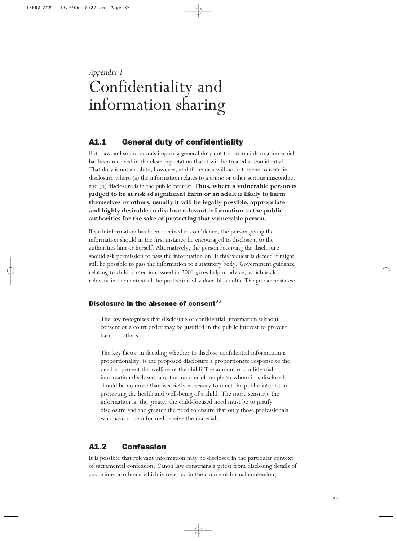## *Appendix 1* Confidentiality and information sharing

## A1.1 General duty of confidentiality

Both law and sound morals impose a general duty not to pass on information which has been received in the clear expectation that it will be treated as confidential. That duty is not absolute, however, and the courts will not intervene to restrain disclosure where (a) the information relates to a crime or other serious misconduct and (b) disclosure is in the public interest. **Thus, where a vulnerable person is judged to be at risk of significant harm or an adult is likely to harm themselves or others, usually it will be legally possible, appropriate and highly desirable to disclose relevant information to the public authorities for the sake of protecting that vulnerable person.**

If such information has been received in confidence, the person giving the information should in the first instance be encouraged to disclose it to the authorities him or herself. Alternatively, the person receiving the disclosure should ask permission to pass the information on. If this request is denied it might still be possible to pass the information to a statutory body. Government guidance relating to child protection issued in 2003 gives helpful advice, which is also relevant in the context of the protection of vulnerable adults. The guidance states:

#### Disclosure in the absence of consent $^{22}$

The law recognises that disclosure of confidential information without consent or a court order may be justified in the public interest to prevent harm to others.

The key factor in deciding whether to disclose confidential information is proportionality: is the proposed disclosure a proportionate response to the need to protect the welfare of the child? The amount of confidential information disclosed, and the number of people to whom it is disclosed, should be no more than is strictly necessary to meet the public interest in protecting the health and well-being of a child. The more sensitive the information is, the greater the child-focused need must be to justify disclosure and the greater the need to ensure that only those professionals who have to be informed receive the material.

## A1.2 Confession

It is possible that relevant information may be disclosed in the particular context of sacramental confession. Canon law constrains a priest from disclosing details of any crime or offence which is revealed in the course of formal confession;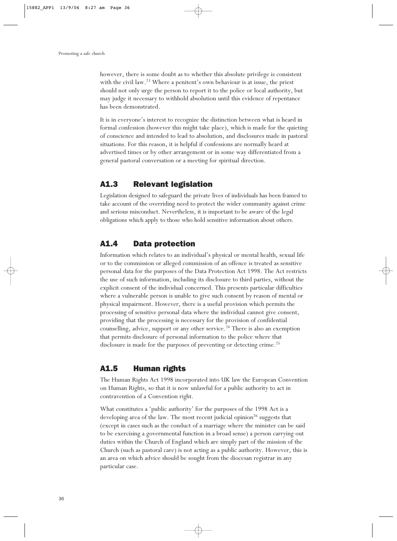however, there is some doubt as to whether this absolute privilege is consistent with the civil law.<sup>23</sup> Where a penitent's own behaviour is at issue, the priest should not only urge the person to report it to the police or local authority, but may judge it necessary to withhold absolution until this evidence of repentance has been demonstrated.

It is in everyone's interest to recognize the distinction between what is heard in formal confession (however this might take place), which is made for the quieting of conscience and intended to lead to absolution, and disclosures made in pastoral situations. For this reason, it is helpful if confessions are normally heard at advertised times or by other arrangement or in some way differentiated from a general pastoral conversation or a meeting for spiritual direction.

### A1.3 Relevant legislation

Legislation designed to safeguard the private lives of individuals has been framed to take account of the overriding need to protect the wider community against crime and serious misconduct. Nevertheless, it is important to be aware of the legal obligations which apply to those who hold sensitive information about others.

## A1.4 Data protection

Information which relates to an individual's physical or mental health, sexual life or to the commission or alleged commission of an offence is treated as sensitive personal data for the purposes of the Data Protection Act 1998. The Act restricts the use of such information, including its disclosure to third parties, without the explicit consent of the individual concerned. This presents particular difficulties where a vulnerable person is unable to give such consent by reason of mental or physical impairment. However, there is a useful provision which permits the processing of sensitive personal data where the individual cannot give consent, providing that the processing is necessary for the provision of confidential counselling, advice, support or any other service.<sup>24</sup> There is also an exemption that permits disclosure of personal information to the police where that disclosure is made for the purposes of preventing or detecting crime.<sup>25</sup>

## A1.5 Human rights

The Human Rights Act 1998 incorporated into UK law the European Convention on Human Rights, so that it is now unlawful for a public authority to act in contravention of a Convention right.

What constitutes a 'public authority' for the purposes of the 1998 Act is a developing area of the law. The most recent judicial opinion<sup>26</sup> suggests that (except in cases such as the conduct of a marriage where the minister can be said to be exercising a governmental function in a broad sense) a person carrying out duties within the Church of England which are simply part of the mission of the Church (such as pastoral care) is not acting as a public authority. However, this is an area on which advice should be sought from the diocesan registrar in any particular case.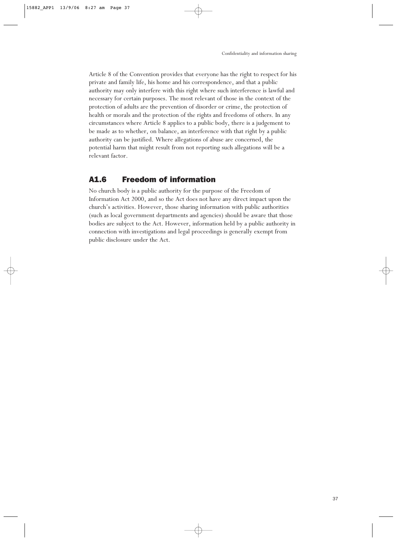Article 8 of the Convention provides that everyone has the right to respect for his private and family life, his home and his correspondence, and that a public authority may only interfere with this right where such interference is lawful and necessary for certain purposes. The most relevant of those in the context of the protection of adults are the prevention of disorder or crime, the protection of health or morals and the protection of the rights and freedoms of others. In any circumstances where Article 8 applies to a public body, there is a judgement to be made as to whether, on balance, an interference with that right by a public authority can be justified. Where allegations of abuse are concerned, the potential harm that might result from not reporting such allegations will be a relevant factor.

### A1.6 Freedom of information

No church body is a public authority for the purpose of the Freedom of Information Act 2000, and so the Act does not have any direct impact upon the church's activities. However, those sharing information with public authorities (such as local government departments and agencies) should be aware that those bodies are subject to the Act. However, information held by a public authority in connection with investigations and legal proceedings is generally exempt from public disclosure under the Act.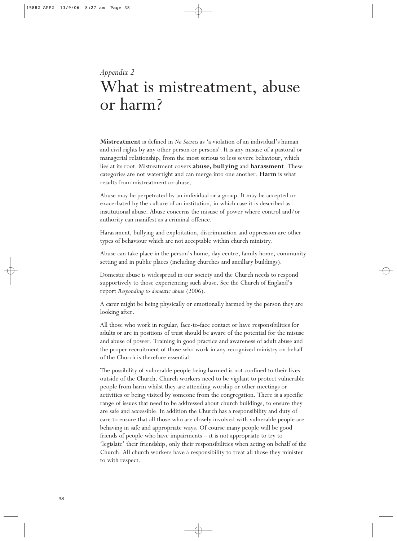## *Appendix 2* What is mistreatment, abuse or harm?

**Mistreatment** is defined in *No Secrets* as 'a violation of an individual's human and civil rights by any other person or persons'. It is any misuse of a pastoral or managerial relationship, from the most serious to less severe behaviour, which lies at its root. Mistreatment covers **abuse, bullying** and **harassment**. These categories are not watertight and can merge into one another. **Harm** is what results from mistreatment or abuse.

Abuse may be perpetrated by an individual or a group. It may be accepted or exacerbated by the culture of an institution, in which case it is described as institutional abuse. Abuse concerns the misuse of power where control and/or authority can manifest as a criminal offence.

Harassment, bullying and exploitation, discrimination and oppression are other types of behaviour which are not acceptable within church ministry.

Abuse can take place in the person's home, day centre, family home, community setting and in public places (including churches and ancillary buildings).

Domestic abuse is widespread in our society and the Church needs to respond supportively to those experiencing such abuse. See the Church of England's report *Responding to domestic abuse* (2006).

A carer might be being physically or emotionally harmed by the person they are looking after.

All those who work in regular, face-to-face contact or have responsibilities for adults or are in positions of trust should be aware of the potential for the misuse and abuse of power. Training in good practice and awareness of adult abuse and the proper recruitment of those who work in any recognized ministry on behalf of the Church is therefore essential.

The possibility of vulnerable people being harmed is not confined to their lives outside of the Church. Church workers need to be vigilant to protect vulnerable people from harm whilst they are attending worship or other meetings or activities or being visited by someone from the congregation. There is a specific range of issues that need to be addressed about church buildings, to ensure they are safe and accessible. In addition the Church has a responsibility and duty of care to ensure that all those who are closely involved with vulnerable people are behaving in safe and appropriate ways. Of course many people will be good friends of people who have impairments – it is not appropriate to try to 'legislate' their friendship, only their responsibilities when acting on behalf of the Church. All church workers have a responsibility to treat all those they minister to with respect.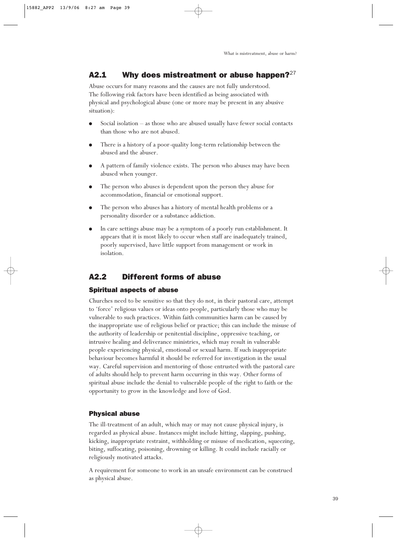## A2.1 Why does mistreatment or abuse happen? $^{27}$

Abuse occurs for many reasons and the causes are not fully understood. The following risk factors have been identified as being associated with physical and psychological abuse (one or more may be present in any abusive situation):

- Social isolation as those who are abused usually have fewer social contacts than those who are not abused.
- There is a history of a poor-quality long-term relationship between the abused and the abuser.
- A pattern of family violence exists. The person who abuses may have been abused when younger.
- The person who abuses is dependent upon the person they abuse for accommodation, financial or emotional support.
- The person who abuses has a history of mental health problems or a personality disorder or a substance addiction.
- In care settings abuse may be a symptom of a poorly run establishment. It appears that it is most likely to occur when staff are inadequately trained, poorly supervised, have little support from management or work in isolation.

## A2.2 Different forms of abuse

#### Spiritual aspects of abuse

Churches need to be sensitive so that they do not, in their pastoral care, attempt to 'force' religious values or ideas onto people, particularly those who may be vulnerable to such practices. Within faith communities harm can be caused by the inappropriate use of religious belief or practice; this can include the misuse of the authority of leadership or penitential discipline, oppressive teaching, or intrusive healing and deliverance ministries, which may result in vulnerable people experiencing physical, emotional or sexual harm. If such inappropriate behaviour becomes harmful it should be referred for investigation in the usual way. Careful supervision and mentoring of those entrusted with the pastoral care of adults should help to prevent harm occurring in this way. Other forms of spiritual abuse include the denial to vulnerable people of the right to faith or the opportunity to grow in the knowledge and love of God.

#### Physical abuse

The ill-treatment of an adult, which may or may not cause physical injury, is regarded as physical abuse. Instances might include hitting, slapping, pushing, kicking, inappropriate restraint, withholding or misuse of medication, squeezing, biting, suffocating, poisoning, drowning or killing. It could include racially or religiously motivated attacks.

A requirement for someone to work in an unsafe environment can be construed as physical abuse.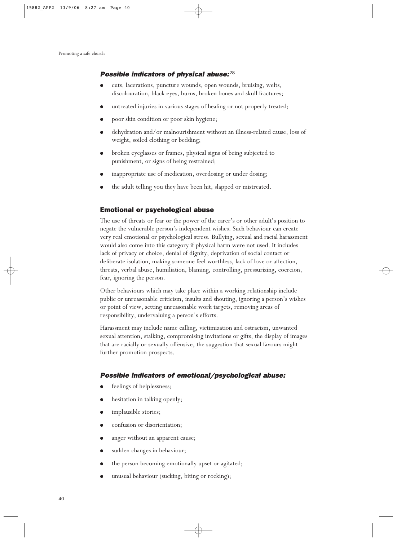#### Possible indicators of physical abuse: $^{28}$

- cuts, lacerations, puncture wounds, open wounds, bruising, welts, discolouration, black eyes, burns, broken bones and skull fractures;
- untreated injuries in various stages of healing or not properly treated;
- poor skin condition or poor skin hygiene;
- dehydration and/or malnourishment without an illness-related cause, loss of weight, soiled clothing or bedding;
- broken eyeglasses or frames, physical signs of being subjected to punishment, or signs of being restrained;
- inappropriate use of medication, overdosing or under dosing;
- the adult telling you they have been hit, slapped or mistreated.

#### Emotional or psychological abuse

The use of threats or fear or the power of the carer's or other adult's position to negate the vulnerable person's independent wishes. Such behaviour can create very real emotional or psychological stress. Bullying, sexual and racial harassment would also come into this category if physical harm were not used. It includes lack of privacy or choice, denial of dignity, deprivation of social contact or deliberate isolation, making someone feel worthless, lack of love or affection, threats, verbal abuse, humiliation, blaming, controlling, pressurizing, coercion, fear, ignoring the person.

Other behaviours which may take place within a working relationship include public or unreasonable criticism, insults and shouting, ignoring a person's wishes or point of view, setting unreasonable work targets, removing areas of responsibility, undervaluing a person's efforts.

Harassment may include name calling, victimization and ostracism, unwanted sexual attention, stalking, compromising invitations or gifts, the display of images that are racially or sexually offensive, the suggestion that sexual favours might further promotion prospects.

#### Possible indicators of emotional/psychological abuse:

- feelings of helplessness;
- hesitation in talking openly;
- implausible stories;
- confusion or disorientation;
- anger without an apparent cause;
- sudden changes in behaviour;
- the person becoming emotionally upset or agitated;
- unusual behaviour (sucking, biting or rocking);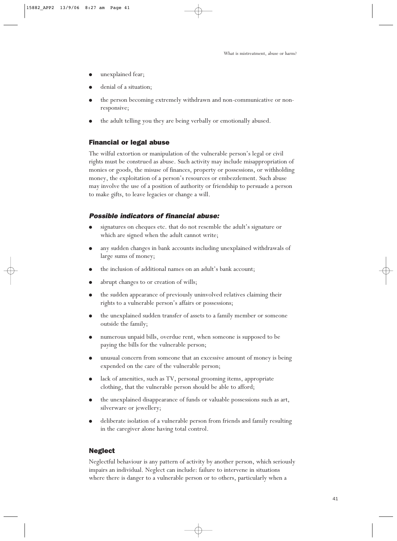- unexplained fear;
- denial of a situation;
- the person becoming extremely withdrawn and non-communicative or nonresponsive;
- the adult telling you they are being verbally or emotionally abused.

#### Financial or legal abuse

The wilful extortion or manipulation of the vulnerable person's legal or civil rights must be construed as abuse. Such activity may include misappropriation of monies or goods, the misuse of finances, property or possessions, or withholding money, the exploitation of a person's resources or embezzlement. Such abuse may involve the use of a position of authority or friendship to persuade a person to make gifts, to leave legacies or change a will.

#### Possible indicators of financial abuse:

- signatures on cheques etc. that do not resemble the adult's signature or which are signed when the adult cannot write;
- any sudden changes in bank accounts including unexplained withdrawals of large sums of money;
- the inclusion of additional names on an adult's bank account;
- abrupt changes to or creation of wills;
- the sudden appearance of previously uninvolved relatives claiming their rights to a vulnerable person's affairs or possessions;
- the unexplained sudden transfer of assets to a family member or someone outside the family;
- numerous unpaid bills, overdue rent, when someone is supposed to be paying the bills for the vulnerable person;
- unusual concern from someone that an excessive amount of money is being expended on the care of the vulnerable person;
- lack of amenities, such as TV, personal grooming items, appropriate clothing, that the vulnerable person should be able to afford;
- the unexplained disappearance of funds or valuable possessions such as art, silverware or jewellery;
- deliberate isolation of a vulnerable person from friends and family resulting in the caregiver alone having total control.

#### Neglect

Neglectful behaviour is any pattern of activity by another person, which seriously impairs an individual. Neglect can include: failure to intervene in situations where there is danger to a vulnerable person or to others, particularly when a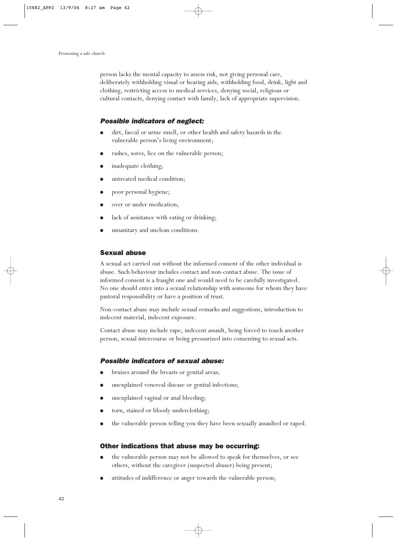person lacks the mental capacity to assess risk, not giving personal care, deliberately withholding visual or hearing aids, withholding food, drink, light and clothing, restricting access to medical services, denying social, religious or cultural contacts, denying contact with family, lack of appropriate supervision.

#### Possible indicators of neglect:

- dirt, faecal or urine smell, or other health and safety hazards in the vulnerable person's living environment;
- rashes, sores, lice on the vulnerable person;
- inadequate clothing;
- untreated medical condition;
- poor personal hygiene;
- over or under medication;
- lack of assistance with eating or drinking;
- unsanitary and unclean conditions.

#### Sexual abuse

A sexual act carried out without the informed consent of the other individual is abuse. Such behaviour includes contact and non-contact abuse. The issue of informed consent is a fraught one and would need to be carefully investigated. No one should enter into a sexual relationship with someone for whom they have pastoral responsibility or have a position of trust.

Non-contact abuse may include sexual remarks and suggestions, introduction to indecent material, indecent exposure.

Contact abuse may include rape, indecent assault, being forced to touch another person, sexual intercourse or being pressurized into consenting to sexual acts.

#### Possible indicators of sexual abuse:

- bruises around the breasts or genital areas;
- unexplained venereal disease or genital infections;
- unexplained vaginal or anal bleeding;
- torn, stained or bloody underclothing;
- the vulnerable person telling you they have been sexually assaulted or raped.

#### Other indications that abuse may be occurring:

- the vulnerable person may not be allowed to speak for themselves, or see others, without the caregiver (suspected abuser) being present;
- attitudes of indifference or anger towards the vulnerable person;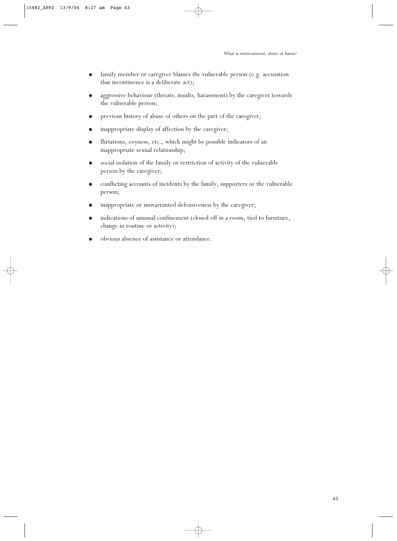- family member or caregiver blames the vulnerable person (e.g. accusation that incontinence is a deliberate act);
- aggressive behaviour (threats, insults, harassment) by the caregiver towards the vulnerable person;
- previous history of abuse of others on the part of the caregiver;
- inappropriate display of affection by the caregiver;
- flirtations, coyness, etc., which might be possible indicators of an inappropriate sexual relationship;
- social isolation of the family or restriction of activity of the vulnerable person by the caregiver;
- conflicting accounts of incidents by the family, supporters or the vulnerable person;
- inappropriate or unwarranted defensiveness by the caregiver;
- indications of unusual confinement (closed off in a room, tied to furniture, change in routine or activity);
- obvious absence of assistance or attendance.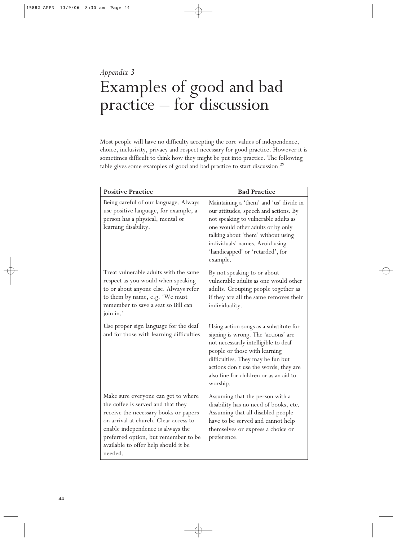## *Appendix 3* Examples of good and bad practice – for discussion

Most people will have no difficulty accepting the core values of independence, choice, inclusivity, privacy and respect necessary for good practice. However it is sometimes difficult to think how they might be put into practice. The following table gives some examples of good and bad practice to start discussion.<sup>29</sup>

| <b>Positive Practice</b>                                                                                                                                                                                                                                                                    | <b>Bad Practice</b>                                                                                                                                                                                                                                                                        |
|---------------------------------------------------------------------------------------------------------------------------------------------------------------------------------------------------------------------------------------------------------------------------------------------|--------------------------------------------------------------------------------------------------------------------------------------------------------------------------------------------------------------------------------------------------------------------------------------------|
| Being careful of our language. Always<br>use positive language, for example, a<br>person has a physical, mental or<br>learning disability.                                                                                                                                                  | Maintaining a 'them' and 'us' divide in<br>our attitudes, speech and actions. By<br>not speaking to vulnerable adults as<br>one would other adults or by only<br>talking about 'them' without using<br>individuals' names. Avoid using<br>'handicapped' or 'retarded', for<br>example.     |
| Treat vulnerable adults with the same<br>respect as you would when speaking<br>to or about anyone else. Always refer<br>to them by name, e.g. 'We must<br>remember to save a seat so Bill can<br>join in.'                                                                                  | By not speaking to or about<br>vulnerable adults as one would other<br>adults. Grouping people together as<br>if they are all the same removes their<br>individuality.                                                                                                                     |
| Use proper sign language for the deaf<br>and for those with learning difficulties.                                                                                                                                                                                                          | Using action songs as a substitute for<br>signing is wrong. The 'actions' are<br>not necessarily intelligible to deaf<br>people or those with learning<br>difficulties. They may be fun but<br>actions don't use the words; they are<br>also fine for children or as an aid to<br>worship. |
| Make sure everyone can get to where<br>the coffee is served and that they<br>receive the necessary books or papers<br>on arrival at church. Clear access to<br>enable independence is always the<br>preferred option, but remember to be<br>available to offer help should it be<br>needed. | Assuming that the person with a<br>disability has no need of books, etc.<br>Assuming that all disabled people<br>have to be served and cannot help<br>themselves or express a choice or<br>preference.                                                                                     |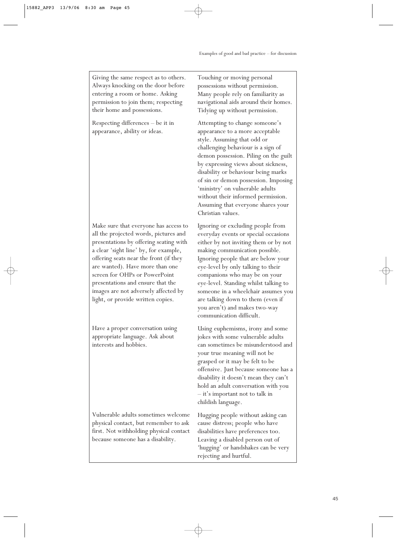Giving the same respect as to others. Always knocking on the door before entering a room or home. Asking permission to join them; respecting their home and possessions.

Respecting differences – be it in appearance, ability or ideas.

Make sure that everyone has access to all the projected words, pictures and presentations by offering seating with a clear 'sight line' by, for example, offering seats near the front (if they are wanted). Have more than one screen for OHPs or PowerPoint presentations and ensure that the images are not adversely affected by light, or provide written copies.

Have a proper conversation using appropriate language. Ask about interests and hobbies.

Vulnerable adults sometimes welcome physical contact, but remember to ask first. Not withholding physical contact because someone has a disability.

Touching or moving personal possessions without permission. Many people rely on familiarity as navigational aids around their homes. Tidying up without permission.

Attempting to change someone's appearance to a more acceptable style. Assuming that odd or challenging behaviour is a sign of demon possession. Piling on the guilt by expressing views about sickness, disability or behaviour being marks of sin or demon possession. Imposing 'ministry' on vulnerable adults without their informed permission. Assuming that everyone shares your Christian values.

Ignoring or excluding people from everyday events or special occasions either by not inviting them or by not making communication possible. Ignoring people that are below your eye-level by only talking to their companions who may be on your eye-level. Standing whilst talking to someone in a wheelchair assumes you are talking down to them (even if you aren't) and makes two-way communication difficult.

Using euphemisms, irony and some jokes with some vulnerable adults can sometimes be misunderstood and your true meaning will not be grasped or it may be felt to be offensive. Just because someone has a disability it doesn't mean they can't hold an adult conversation with you – it's important not to talk in childish language.

Hugging people without asking can cause distress; people who have disabilities have preferences too. Leaving a disabled person out of 'hugging' or handshakes can be very rejecting and hurtful.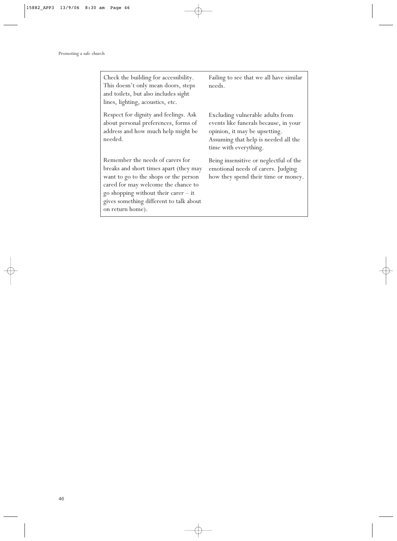on return home).

Check the building for accessibility. This doesn't only mean doors, steps and toilets, but also includes sight lines, lighting, acoustics, etc. Respect for dignity and feelings. Ask about personal preferences, forms of address and how much help might be needed. Remember the needs of carers for breaks and short times apart (they may want to go to the shops or the person cared for may welcome the chance to go shopping without their carer – it gives something different to talk about Failing to see that we all have similar needs. Excluding vulnerable adults from events like funerals because, in your opinion, it may be upsetting. Assuming that help is needed all the time with everything. Being insensitive or neglectful of the emotional needs of carers. Judging how they spend their time or money.

46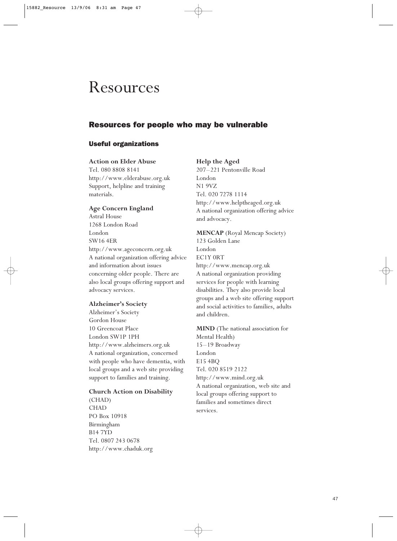## Resources

### Resources for people who may be vulnerable

#### Useful organizations

#### **Action on Elder Abuse**

Tel. 080 8808 8141 http://www.elderabuse.org.uk Support, helpline and training materials.

#### **Age Concern England**

Astral House 1268 London Road London SW16 4ER http://www.ageconcern.org.uk A national organization offering advice and information about issues concerning older people. There are also local groups offering support and advocacy services.

#### **Alzheimer's Society**

Alzheimer's Society Gordon House 10 Greencoat Place London SW1P 1PH http://www.alzheimers.org.uk A national organization, concerned with people who have dementia, with local groups and a web site providing support to families and training.

#### **Church Action on Disability**

(CHAD) CHAD PO Box 10918 Birmingham B14 7YD Tel. 0807 243 0678 http://www.chaduk.org

#### **Help the Aged**

207–221 Pentonville Road London N1 9VZ Tel. 020 7278 1114 http://www.helptheaged.org.uk A national organization offering advice and advocacy.

#### **MENCAP** (Royal Mencap Society)

123 Golden Lane London EC1Y 0RT http://www.mencap.org.uk A national organization providing services for people with learning disabilities. They also provide local groups and a web site offering support and social activities to families, adults and children.

**MIND** (The national association for Mental Health) 15–19 Broadway London E15 4BQ Tel. 020 8519 2122 http://www.mind.org.uk A national organization, web site and local groups offering support to families and sometimes direct services.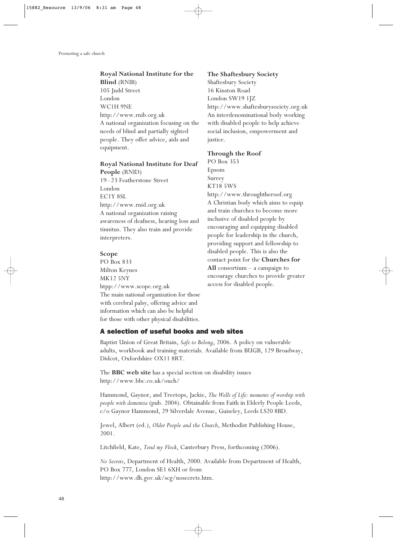#### **Royal National Institute for the Blind** (RNIB)

105 Judd Street London WC1H 9NE http://www.rnib.org.uk A national organization focusing on the needs of blind and partially sighted people. They offer advice, aids and equipment.

#### **Royal National Institute for Deaf People** (RNID)

19–23 Featherstone Street London EC1Y 8SL http://www.rnid.org.uk A national organization raising awareness of deafness, hearing loss and tinnitus. They also train and provide interpreters.

#### **Scope**

PO Box 833 Milton Keynes MK12 5NY htpp://www.scope.org.uk The main national organization for those with cerebral palsy, offering advice and information which can also be helpful for those with other physical disabilities.

#### **The Shaftesbury Society**

Shaftesbury Society 16 Kinston Road London SW19 1JZ http://www.shaftesburysociety.org.uk An interdenominational body working with disabled people to help achieve social inclusion, empowerment and justice.

#### **Through the Roof**

PO Box 353 Epsom Surrey KT18 5WS http://www.throughtheroof.org A Christian body which aims to equip and train churches to become more inclusive of disabled people by encouraging and equipping disabled people for leadership in the church, providing support and fellowship to disabled people. This is also the contact point for the **Churches for All** consortium – a campaign to encourage churches to provide greater access for disabled people.

#### A selection of useful books and web sites

Baptist Union of Great Britain, *Safe to Belong*, 2006. A policy on vulnerable adults, workbook and training materials. Available from BUGB, 129 Broadway, Didcot, Oxfordshire OX11 8RT.

The **BBC web site** has a special section on disability issues http://www.bbc.co.uk/ouch/

Hammond, Gaynor, and Treetops, Jackie, *The Wells of Life: moments of worship with people with dementia* (pub. 2004). Obtainable from Faith in Elderly People Leeds, c/o Gaynor Hammond, 29 Silverdale Avenue, Guiseley, Leeds LS20 8BD.

Jewel, Albert (ed.), *Older People and the Church*, Methodist Publishing House, 2001.

Litchfield, Kate, *Tend my Flock*, Canterbury Press, forthcoming (2006).

*No Secrets*, Department of Health, 2000. Available from Department of Health, PO Box 777, London SE1 6XH or from http://www.dh.gov.uk/scg/nosecrets.htm.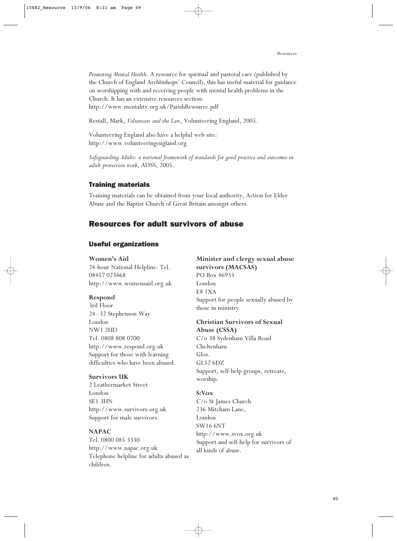*Promoting Mental Health*. A resource for spiritual and pastoral care (published by the Church of England Archbishops' Council), this has useful material for guidance on worshipping with and receiving people with mental health problems in the Church. It has an extensive resources section: http://www.mentality.org.uk/ParishResource.pdf

Restall, Mark, *Volunteers and the Law*, Volunteering England, 2005.

Volunteering England also have a helpful web site: http://www.volunteeringengland.org

*Safeguarding Adults: a national framework of standards for good practice and outcomes in adult protection work*, ADSS, 2005.

#### Training materials

Training materials can be obtained from your local authority, Action for Elder Abuse and the Baptist Church of Great Britain amongst others.

#### Resources for adult survivors of abuse

#### Useful organizations

#### **Women's Aid**

24-hour National Helpline: Tel. 08457 023468 http://www.womensaid.org.uk

#### **Respond**

3rd Floor 24–32 Stephenson Way London NW1 2HD Tel. 0808 808 0700 http://www.respond.org.uk Support for those with learning difficulties who have been abused.

#### **Survivors UK**

2 Leathermarket Street London SE1 3HN http://www.survivors.org.uk Support for male survivors.

#### **NAPAC**

Tel. 0800 085 3330 http://www.napac.org.uk Telephone helpline for adults abused as children.

**Minister and clergy sexual abuse survivors (MACSAS)** PO Box 46933 London E8 1XA Support for people sexually abused by those in ministry.

#### **Christian Survivors of Sexual Abuse (CSSA)**

C/o 38 Sydenham Villa Road Cheltenham Glos. GL52 6DZ Support, self-help groups, retreats, worship.

#### **S:Vox**

C/o St James Church 236 Mitcham Lane, London SW16 6NT http://www.svox.org.uk Support and self-help for survivors of all kinds of abuse.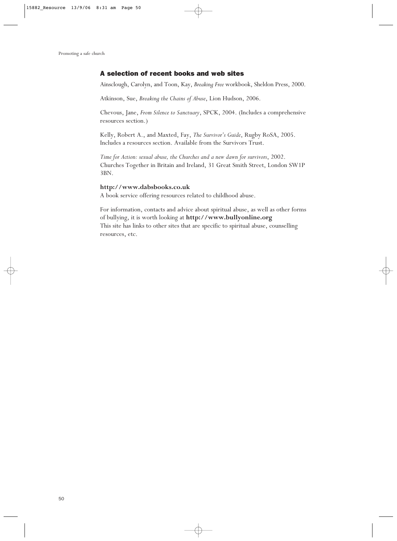#### A selection of recent books and web sites

Ainsclough, Carolyn, and Toon, Kay, *Breaking Free* workbook, Sheldon Press, 2000.

Atkinson, Sue, *Breaking the Chains of Abuse*, Lion Hudson, 2006.

Chevous, Jane, *From Silence to Sanctuary*, SPCK, 2004. (Includes a comprehensive resources section.)

Kelly, Robert A., and Maxted, Fay, *The Survivor's Guide*, Rugby RoSA, 2005. Includes a resources section. Available from the Survivors Trust.

*Time for Action: sexual abuse, the Churches and a new dawn for survivors*, 2002. Churches Together in Britain and Ireland, 31 Great Smith Street, London SW1P 3BN.

#### **http://www.dabsbooks.co.uk**

A book service offering resources related to childhood abuse.

For information, contacts and advice about spiritual abuse, as well as other forms of bullying, it is worth looking at **http://www.bullyonline.org** This site has links to other sites that are specific to spiritual abuse, counselling resources, etc.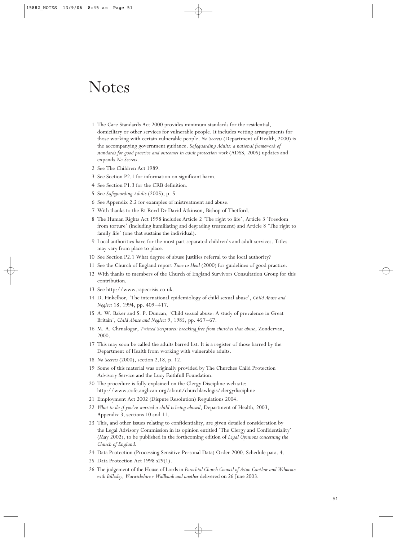## Notes

- 1 The Care Standards Act 2000 provides minimum standards for the residential, domiciliary or other services for vulnerable people. It includes vetting arrangements for those working with certain vulnerable people. *No Secrets* (Department of Health, 2000) is the accompanying government guidance. *Safeguarding Adults: a national framework of standards for good practice and outcomes in adult protection work* (ADSS, 2005) updates and expands *No Secrets*.
- 2 See The Children Act 1989.
- 3 See Section P2.1 for information on significant harm.
- 4 See Section P1.3 for the CRB definition.
- 5 See *Safeguarding Adults* (2005), p. 5.
- 6 See Appendix 2.2 for examples of mistreatment and abuse.
- 7 With thanks to the Rt Revd Dr David Atkinson, Bishop of Thetford.
- 8 The Human Rights Act 1998 includes Article 2 'The right to life', Article 3 'Freedom from torture' (including humiliating and degrading treatment) and Article 8 'The right to family life' (one that sustains the individual).
- 9 Local authorities have for the most part separated children's and adult services. Titles may vary from place to place.
- 10 See Section P2.1 What degree of abuse justifies referral to the local authority?
- 11 See the Church of England report *Time to Heal* (2000) for guidelines of good practice.
- 12 With thanks to members of the Church of England Survivors Consultation Group for this contribution.
- 13 See http://www.rapecrisis.co.uk.
- 14 D. Finkelhor, 'The international epidemiology of child sexual abuse', *Child Abuse and Neglect* 18, 1994, pp. 409–417.
- 15 A. W. Baker and S. P. Duncan, 'Child sexual abuse: A study of prevalence in Great Britain', *Child Abuse and Neglect* 9, 1985, pp. 457–67.
- 16 M. A. Chrnalogar, *Twisted Scriptures: breaking free from churches that abuse*, Zondervan, 2000.
- 17 This may soon be called the adults barred list. It is a register of those barred by the Department of Health from working with vulnerable adults.
- 18 *No Secrets* (2000), section 2.18, p. 12.
- 19 Some of this material was originally provided by The Churches Child Protection Advisory Service and the Lucy Faithfull Foundation.
- 20 The procedure is fully explained on the Clergy Discipline web site: http://www.cofe.anglican.org/about/churchlawlegis/clergydiscipline
- 21 Employment Act 2002 (Dispute Resolution) Regulations 2004.
- 22 *What to do if you're worried a child is being abused*, Department of Health, 2003, Appendix 3, sections 10 and 11.
- 23 This, and other issues relating to confidentiality, are given detailed consideration by the Legal Advisory Commission in its opinion entitled 'The Clergy and Confidentiality' (May 2002), to be published in the forthcoming edition of *Legal Opinions concerning the Church of England.*
- 24 Data Protection (Processing Sensitive Personal Data) Order 2000. Schedule para. 4.
- 25 Data Protection Act 1998 s29(1).
- 26 The judgement of the House of Lords in *Parochial Church Council of Aston Cantlow and Wilmcote with Billesley, Warwickshire v Wallbank and another* delivered on 26 June 2003.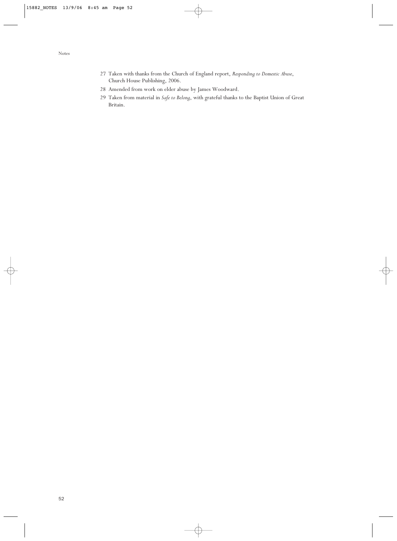- 27 Taken with thanks from the Church of England report, *Responding to Domestic Abuse*, Church House Publishing, 2006.
- 28 Amended from work on elder abuse by James Woodward.
- 29 Taken from material in *Safe to Belong*, with grateful thanks to the Baptist Union of Great Britain.